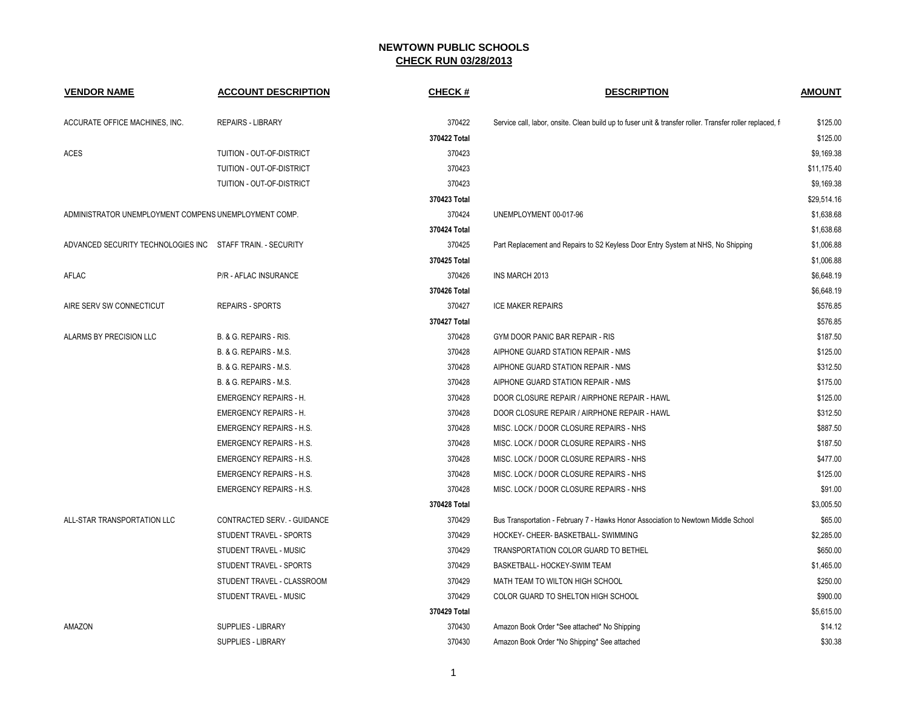| <b>VENDOR NAME</b>                                         | <b>ACCOUNT DESCRIPTION</b>      | <b>CHECK#</b> | <b>DESCRIPTION</b>                                                                                       | <b>AMOUNT</b> |
|------------------------------------------------------------|---------------------------------|---------------|----------------------------------------------------------------------------------------------------------|---------------|
| ACCURATE OFFICE MACHINES, INC.                             | <b>REPAIRS - LIBRARY</b>        | 370422        | Service call, labor, onsite. Clean build up to fuser unit & transfer roller. Transfer roller replaced, f | \$125.00      |
|                                                            |                                 | 370422 Total  |                                                                                                          | \$125.00      |
| ACES                                                       | TUITION - OUT-OF-DISTRICT       | 370423        |                                                                                                          | \$9,169.38    |
|                                                            | TUITION - OUT-OF-DISTRICT       | 370423        |                                                                                                          | \$11,175.40   |
|                                                            | TUITION - OUT-OF-DISTRICT       | 370423        |                                                                                                          | \$9,169.38    |
|                                                            |                                 | 370423 Total  |                                                                                                          | \$29,514.16   |
| ADMINISTRATOR UNEMPLOYMENT COMPENS UNEMPLOYMENT COMP.      |                                 | 370424        | UNEMPLOYMENT 00-017-96                                                                                   | \$1,638.68    |
|                                                            |                                 | 370424 Total  |                                                                                                          | \$1,638.68    |
| ADVANCED SECURITY TECHNOLOGIES INC STAFF TRAIN. - SECURITY |                                 | 370425        | Part Replacement and Repairs to S2 Keyless Door Entry System at NHS, No Shipping                         | \$1,006.88    |
|                                                            |                                 | 370425 Total  |                                                                                                          | \$1,006.88    |
| AFLAC                                                      | <b>P/R - AFLAC INSURANCE</b>    | 370426        | <b>INS MARCH 2013</b>                                                                                    | \$6,648.19    |
|                                                            |                                 | 370426 Total  |                                                                                                          | \$6,648.19    |
| AIRE SERV SW CONNECTICUT                                   | <b>REPAIRS - SPORTS</b>         | 370427        | <b>ICE MAKER REPAIRS</b>                                                                                 | \$576.85      |
|                                                            |                                 | 370427 Total  |                                                                                                          | \$576.85      |
| ALARMS BY PRECISION LLC                                    | B. & G. REPAIRS - RIS.          | 370428        | GYM DOOR PANIC BAR REPAIR - RIS                                                                          | \$187.50      |
|                                                            | B. & G. REPAIRS - M.S.          | 370428        | AIPHONE GUARD STATION REPAIR - NMS                                                                       | \$125.00      |
|                                                            | B. & G. REPAIRS - M.S.          | 370428        | AIPHONE GUARD STATION REPAIR - NMS                                                                       | \$312.50      |
|                                                            | B. & G. REPAIRS - M.S.          | 370428        | AIPHONE GUARD STATION REPAIR - NMS                                                                       | \$175.00      |
|                                                            | <b>EMERGENCY REPAIRS - H.</b>   | 370428        | DOOR CLOSURE REPAIR / AIRPHONE REPAIR - HAWL                                                             | \$125.00      |
|                                                            | <b>EMERGENCY REPAIRS - H.</b>   | 370428        | DOOR CLOSURE REPAIR / AIRPHONE REPAIR - HAWL                                                             | \$312.50      |
|                                                            | <b>EMERGENCY REPAIRS - H.S.</b> | 370428        | MISC. LOCK / DOOR CLOSURE REPAIRS - NHS                                                                  | \$887.50      |
|                                                            | <b>EMERGENCY REPAIRS - H.S.</b> | 370428        | MISC. LOCK / DOOR CLOSURE REPAIRS - NHS                                                                  | \$187.50      |
|                                                            | <b>EMERGENCY REPAIRS - H.S.</b> | 370428        | MISC. LOCK / DOOR CLOSURE REPAIRS - NHS                                                                  | \$477.00      |
|                                                            | <b>EMERGENCY REPAIRS - H.S.</b> | 370428        | MISC. LOCK / DOOR CLOSURE REPAIRS - NHS                                                                  | \$125.00      |
|                                                            | <b>EMERGENCY REPAIRS - H.S.</b> | 370428        | MISC. LOCK / DOOR CLOSURE REPAIRS - NHS                                                                  | \$91.00       |
|                                                            |                                 | 370428 Total  |                                                                                                          | \$3,005.50    |
| ALL-STAR TRANSPORTATION LLC                                | CONTRACTED SERV. - GUIDANCE     | 370429        | Bus Transportation - February 7 - Hawks Honor Association to Newtown Middle School                       | \$65.00       |
|                                                            | STUDENT TRAVEL - SPORTS         | 370429        | HOCKEY- CHEER- BASKETBALL- SWIMMING                                                                      | \$2,285.00    |
|                                                            | STUDENT TRAVEL - MUSIC          | 370429        | TRANSPORTATION COLOR GUARD TO BETHEL                                                                     | \$650.00      |
|                                                            | STUDENT TRAVEL - SPORTS         | 370429        | BASKETBALL- HOCKEY-SWIM TEAM                                                                             | \$1,465.00    |
|                                                            | STUDENT TRAVEL - CLASSROOM      | 370429        | MATH TEAM TO WILTON HIGH SCHOOL                                                                          | \$250.00      |
|                                                            | STUDENT TRAVEL - MUSIC          | 370429        | COLOR GUARD TO SHELTON HIGH SCHOOL                                                                       | \$900.00      |
|                                                            |                                 | 370429 Total  |                                                                                                          | \$5,615.00    |
| AMAZON                                                     | SUPPLIES - LIBRARY              | 370430        | Amazon Book Order *See attached* No Shipping                                                             | \$14.12       |
|                                                            | <b>SUPPLIES - LIBRARY</b>       | 370430        | Amazon Book Order *No Shipping* See attached                                                             | \$30.38       |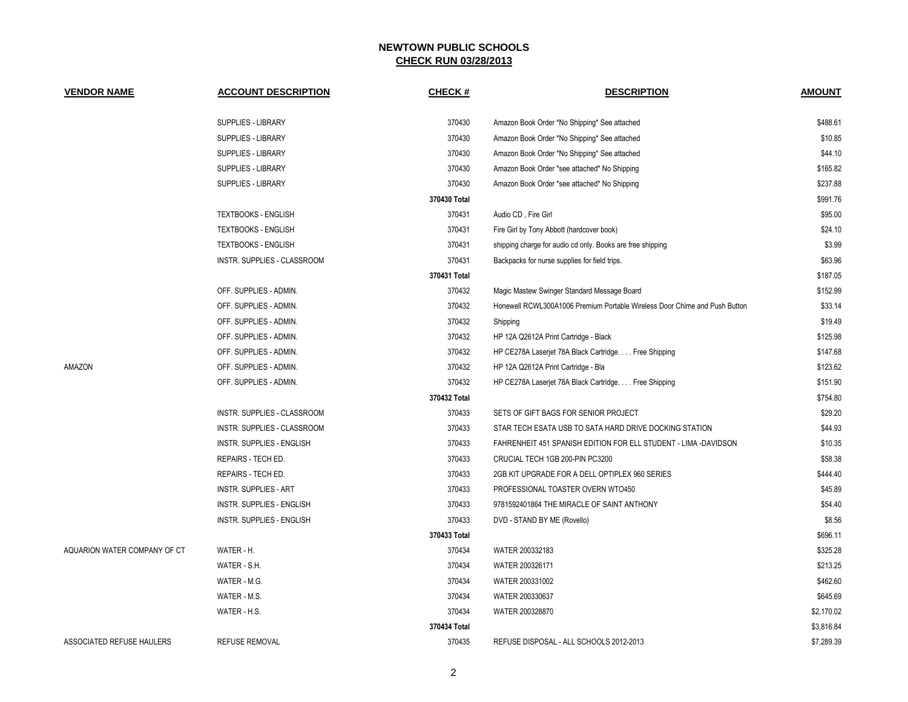| <b>VENDOR NAME</b>           | <b>ACCOUNT DESCRIPTION</b>       | <b>CHECK#</b> | <b>DESCRIPTION</b>                                                         | <b>AMOUNT</b> |
|------------------------------|----------------------------------|---------------|----------------------------------------------------------------------------|---------------|
|                              | SUPPLIES - LIBRARY               | 370430        | Amazon Book Order *No Shipping* See attached                               | \$488.61      |
|                              | SUPPLIES - LIBRARY               | 370430        | Amazon Book Order *No Shipping* See attached                               | \$10.85       |
|                              | SUPPLIES - LIBRARY               | 370430        | Amazon Book Order *No Shipping* See attached                               | \$44.10       |
|                              | SUPPLIES - LIBRARY               | 370430        | Amazon Book Order *see attached* No Shipping                               | \$165.82      |
|                              | SUPPLIES - LIBRARY               | 370430        | Amazon Book Order *see attached* No Shipping                               | \$237.88      |
|                              |                                  | 370430 Total  |                                                                            | \$991.76      |
|                              | <b>TEXTBOOKS - ENGLISH</b>       | 370431        | Audio CD, Fire Girl                                                        | \$95.00       |
|                              | <b>TEXTBOOKS - ENGLISH</b>       | 370431        | Fire Girl by Tony Abbott (hardcover book)                                  | \$24.10       |
|                              | <b>TEXTBOOKS - ENGLISH</b>       | 370431        | shipping charge for audio cd only. Books are free shipping                 | \$3.99        |
|                              | INSTR. SUPPLIES - CLASSROOM      | 370431        | Backpacks for nurse supplies for field trips.                              | \$63.96       |
|                              |                                  | 370431 Total  |                                                                            | \$187.05      |
|                              | OFF. SUPPLIES - ADMIN.           | 370432        | Magic Mastew Swinger Standard Message Board                                | \$152.99      |
|                              | OFF. SUPPLIES - ADMIN.           | 370432        | Honewell RCWL300A1006 Premium Portable Wireless Door Chime and Push Button | \$33.14       |
|                              | OFF. SUPPLIES - ADMIN.           | 370432        | Shipping                                                                   | \$19.49       |
|                              | OFF. SUPPLIES - ADMIN.           | 370432        | HP 12A Q2612A Print Cartridge - Black                                      | \$125.98      |
|                              | OFF. SUPPLIES - ADMIN.           | 370432        | HP CE278A Laserjet 78A Black Cartridge Free Shipping                       | \$147.68      |
| AMAZON                       | OFF. SUPPLIES - ADMIN.           | 370432        | HP 12A Q2612A Print Cartridge - Bla                                        | \$123.62      |
|                              | OFF. SUPPLIES - ADMIN.           | 370432        | HP CE278A Laserjet 78A Black Cartridge Free Shipping                       | \$151.90      |
|                              |                                  | 370432 Total  |                                                                            | \$754.80      |
|                              | INSTR. SUPPLIES - CLASSROOM      | 370433        | SETS OF GIFT BAGS FOR SENIOR PROJECT                                       | \$29.20       |
|                              | INSTR. SUPPLIES - CLASSROOM      | 370433        | STAR TECH ESATA USB TO SATA HARD DRIVE DOCKING STATION                     | \$44.93       |
|                              | INSTR. SUPPLIES - ENGLISH        | 370433        | FAHRENHEIT 451 SPANISH EDITION FOR ELL STUDENT - LIMA -DAVIDSON            | \$10.35       |
|                              | REPAIRS - TECH ED.               | 370433        | CRUCIAL TECH 1GB 200-PIN PC3200                                            | \$58.38       |
|                              | REPAIRS - TECH ED.               | 370433        | 2GB KIT UPGRADE FOR A DELL OPTIPLEX 960 SERIES                             | \$444.40      |
|                              | <b>INSTR. SUPPLIES - ART</b>     | 370433        | PROFESSIONAL TOASTER OVERN WTO450                                          | \$45.89       |
|                              | <b>INSTR. SUPPLIES - ENGLISH</b> | 370433        | 9781592401864 THE MIRACLE OF SAINT ANTHONY                                 | \$54.40       |
|                              | <b>INSTR. SUPPLIES - ENGLISH</b> | 370433        | DVD - STAND BY ME (Rovello)                                                | \$8.56        |
|                              |                                  | 370433 Total  |                                                                            | \$696.11      |
| AQUARION WATER COMPANY OF CT | WATER - H.                       | 370434        | WATER 200332183                                                            | \$325.28      |
|                              | WATER - S.H.                     | 370434        | WATER 200326171                                                            | \$213.25      |
|                              | WATER - M.G.                     | 370434        | WATER 200331002                                                            | \$462.60      |
|                              | WATER - M.S.                     | 370434        | WATER 200330637                                                            | \$645.69      |
|                              | WATER - H.S.                     | 370434        | WATER 200328870                                                            | \$2,170.02    |
|                              |                                  | 370434 Total  |                                                                            | \$3,816.84    |
| ASSOCIATED REFUSE HAULERS    | <b>REFUSE REMOVAL</b>            | 370435        | REFUSE DISPOSAL - ALL SCHOOLS 2012-2013                                    | \$7,289.39    |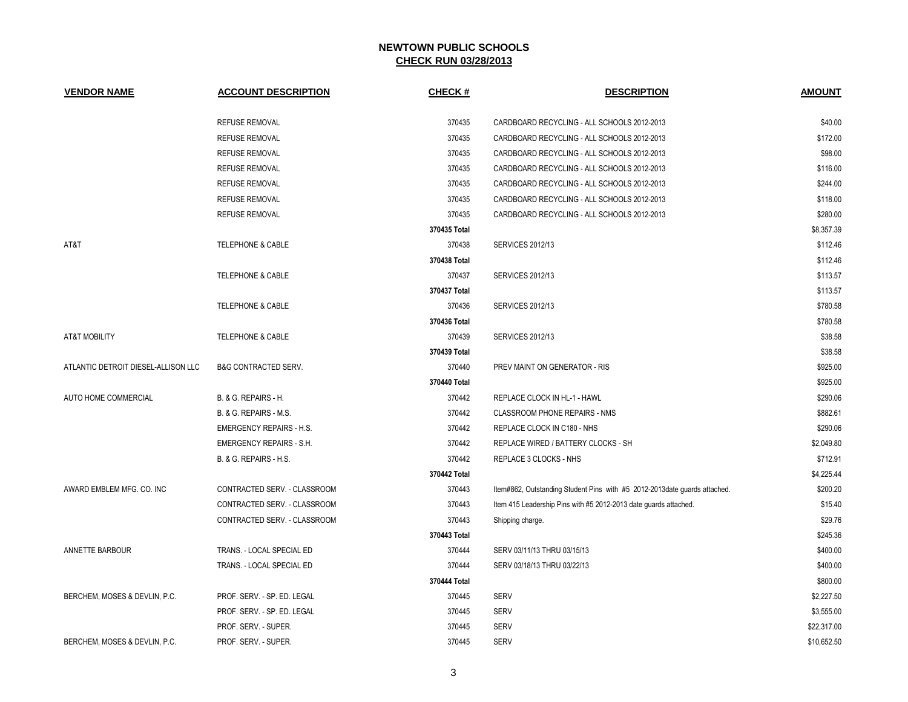| <b>VENDOR NAME</b>                  | <b>ACCOUNT DESCRIPTION</b>        | <b>CHECK#</b> | <b>DESCRIPTION</b>                                                        | <b>AMOUNT</b> |
|-------------------------------------|-----------------------------------|---------------|---------------------------------------------------------------------------|---------------|
|                                     | <b>REFUSE REMOVAL</b>             | 370435        | CARDBOARD RECYCLING - ALL SCHOOLS 2012-2013                               | \$40.00       |
|                                     | <b>REFUSE REMOVAL</b>             | 370435        | CARDBOARD RECYCLING - ALL SCHOOLS 2012-2013                               | \$172.00      |
|                                     | <b>REFUSE REMOVAL</b>             | 370435        | CARDBOARD RECYCLING - ALL SCHOOLS 2012-2013                               | \$98.00       |
|                                     | <b>REFUSE REMOVAL</b>             | 370435        | CARDBOARD RECYCLING - ALL SCHOOLS 2012-2013                               | \$116.00      |
|                                     | <b>REFUSE REMOVAL</b>             | 370435        | CARDBOARD RECYCLING - ALL SCHOOLS 2012-2013                               | \$244.00      |
|                                     | <b>REFUSE REMOVAL</b>             | 370435        | CARDBOARD RECYCLING - ALL SCHOOLS 2012-2013                               | \$118.00      |
|                                     | <b>REFUSE REMOVAL</b>             | 370435        | CARDBOARD RECYCLING - ALL SCHOOLS 2012-2013                               | \$280.00      |
|                                     |                                   | 370435 Total  |                                                                           | \$8,357.39    |
| AT&T                                | TELEPHONE & CABLE                 | 370438        | <b>SERVICES 2012/13</b>                                                   | \$112.46      |
|                                     |                                   | 370438 Total  |                                                                           | \$112.46      |
|                                     | TELEPHONE & CABLE                 | 370437        | <b>SERVICES 2012/13</b>                                                   | \$113.57      |
|                                     |                                   | 370437 Total  |                                                                           | \$113.57      |
|                                     | <b>TELEPHONE &amp; CABLE</b>      | 370436        | <b>SERVICES 2012/13</b>                                                   | \$780.58      |
|                                     |                                   | 370436 Total  |                                                                           | \$780.58      |
| <b>AT&amp;T MOBILITY</b>            | <b>TELEPHONE &amp; CABLE</b>      | 370439        | <b>SERVICES 2012/13</b>                                                   | \$38.58       |
|                                     |                                   | 370439 Total  |                                                                           | \$38.58       |
| ATLANTIC DETROIT DIESEL-ALLISON LLC | <b>B&amp;G CONTRACTED SERV.</b>   | 370440        | PREV MAINT ON GENERATOR - RIS                                             | \$925.00      |
|                                     |                                   | 370440 Total  |                                                                           | \$925.00      |
| AUTO HOME COMMERCIAL                | B. & G. REPAIRS - H.              | 370442        | REPLACE CLOCK IN HL-1 - HAWL                                              | \$290.06      |
|                                     | B. & G. REPAIRS - M.S.            | 370442        | CLASSROOM PHONE REPAIRS - NMS                                             | \$882.61      |
|                                     | <b>EMERGENCY REPAIRS - H.S.</b>   | 370442        | REPLACE CLOCK IN C180 - NHS                                               | \$290.06      |
|                                     | <b>EMERGENCY REPAIRS - S.H.</b>   | 370442        | REPLACE WIRED / BATTERY CLOCKS - SH                                       | \$2,049.80    |
|                                     | <b>B. &amp; G. REPAIRS - H.S.</b> | 370442        | REPLACE 3 CLOCKS - NHS                                                    | \$712.91      |
|                                     |                                   | 370442 Total  |                                                                           | \$4,225.44    |
| AWARD EMBLEM MFG. CO. INC           | CONTRACTED SERV. - CLASSROOM      | 370443        | Item#862, Outstanding Student Pins with #5 2012-2013date guards attached. | \$200.20      |
|                                     | CONTRACTED SERV. - CLASSROOM      | 370443        | Item 415 Leadership Pins with #5 2012-2013 date guards attached.          | \$15.40       |
|                                     | CONTRACTED SERV. - CLASSROOM      | 370443        | Shipping charge.                                                          | \$29.76       |
|                                     |                                   | 370443 Total  |                                                                           | \$245.36      |
| ANNETTE BARBOUR                     | TRANS. - LOCAL SPECIAL ED         | 370444        | SERV 03/11/13 THRU 03/15/13                                               | \$400.00      |
|                                     | TRANS. - LOCAL SPECIAL ED         | 370444        | SERV 03/18/13 THRU 03/22/13                                               | \$400.00      |
|                                     |                                   | 370444 Total  |                                                                           | \$800.00      |
| BERCHEM, MOSES & DEVLIN, P.C.       | PROF. SERV. - SP. ED. LEGAL       | 370445        | <b>SERV</b>                                                               | \$2,227.50    |
|                                     | PROF. SERV. - SP. ED. LEGAL       | 370445        | <b>SERV</b>                                                               | \$3,555.00    |
|                                     | PROF. SERV. - SUPER.              | 370445        | <b>SERV</b>                                                               | \$22,317.00   |
| BERCHEM, MOSES & DEVLIN, P.C.       | PROF. SERV. - SUPER.              | 370445        | <b>SERV</b>                                                               | \$10,652.50   |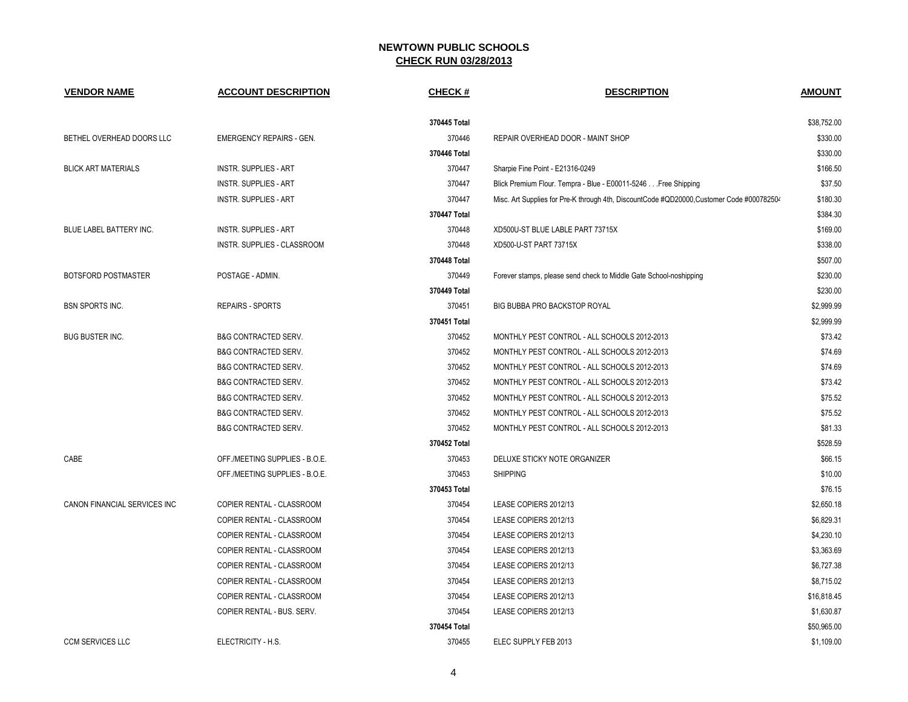| <b>VENDOR NAME</b>           | <b>ACCOUNT DESCRIPTION</b>      | <b>CHECK#</b> | <b>DESCRIPTION</b>                                                                        | <b>AMOUNT</b> |
|------------------------------|---------------------------------|---------------|-------------------------------------------------------------------------------------------|---------------|
|                              |                                 | 370445 Total  |                                                                                           | \$38,752.00   |
| BETHEL OVERHEAD DOORS LLC    | <b>EMERGENCY REPAIRS - GEN.</b> | 370446        | REPAIR OVERHEAD DOOR - MAINT SHOP                                                         | \$330.00      |
|                              |                                 | 370446 Total  |                                                                                           | \$330.00      |
| <b>BLICK ART MATERIALS</b>   | <b>INSTR. SUPPLIES - ART</b>    | 370447        | Sharpie Fine Point - E21316-0249                                                          | \$166.50      |
|                              | <b>INSTR. SUPPLIES - ART</b>    | 370447        | Blick Premium Flour. Tempra - Blue - E00011-5246 Free Shipping                            | \$37.50       |
|                              | <b>INSTR. SUPPLIES - ART</b>    | 370447        | Misc. Art Supplies for Pre-K through 4th, DiscountCode #QD20000, Customer Code #000782504 | \$180.30      |
|                              |                                 | 370447 Total  |                                                                                           | \$384.30      |
| BLUE LABEL BATTERY INC.      | INSTR. SUPPLIES - ART           | 370448        | XD500U-ST BLUE LABLE PART 73715X                                                          | \$169.00      |
|                              | INSTR. SUPPLIES - CLASSROOM     | 370448        | XD500-U-ST PART 73715X                                                                    | \$338.00      |
|                              |                                 | 370448 Total  |                                                                                           | \$507.00      |
| BOTSFORD POSTMASTER          | POSTAGE - ADMIN.                | 370449        | Forever stamps, please send check to Middle Gate School-noshipping                        | \$230.00      |
|                              |                                 | 370449 Total  |                                                                                           | \$230.00      |
| <b>BSN SPORTS INC.</b>       | <b>REPAIRS - SPORTS</b>         | 370451        | <b>BIG BUBBA PRO BACKSTOP ROYAL</b>                                                       | \$2,999.99    |
|                              |                                 | 370451 Total  |                                                                                           | \$2,999.99    |
| <b>BUG BUSTER INC.</b>       | <b>B&amp;G CONTRACTED SERV.</b> | 370452        | MONTHLY PEST CONTROL - ALL SCHOOLS 2012-2013                                              | \$73.42       |
|                              | <b>B&amp;G CONTRACTED SERV.</b> | 370452        | MONTHLY PEST CONTROL - ALL SCHOOLS 2012-2013                                              | \$74.69       |
|                              | B&G CONTRACTED SERV.            | 370452        | MONTHLY PEST CONTROL - ALL SCHOOLS 2012-2013                                              | \$74.69       |
|                              | <b>B&amp;G CONTRACTED SERV.</b> | 370452        | MONTHLY PEST CONTROL - ALL SCHOOLS 2012-2013                                              | \$73.42       |
|                              | B&G CONTRACTED SERV.            | 370452        | MONTHLY PEST CONTROL - ALL SCHOOLS 2012-2013                                              | \$75.52       |
|                              | B&G CONTRACTED SERV.            | 370452        | MONTHLY PEST CONTROL - ALL SCHOOLS 2012-2013                                              | \$75.52       |
|                              | <b>B&amp;G CONTRACTED SERV.</b> | 370452        | MONTHLY PEST CONTROL - ALL SCHOOLS 2012-2013                                              | \$81.33       |
|                              |                                 | 370452 Total  |                                                                                           | \$528.59      |
| CABE                         | OFF./MEETING SUPPLIES - B.O.E.  | 370453        | DELUXE STICKY NOTE ORGANIZER                                                              | \$66.15       |
|                              | OFF./MEETING SUPPLIES - B.O.E.  | 370453        | <b>SHIPPING</b>                                                                           | \$10.00       |
|                              |                                 | 370453 Total  |                                                                                           | \$76.15       |
| CANON FINANCIAL SERVICES INC | COPIER RENTAL - CLASSROOM       | 370454        | LEASE COPIERS 2012/13                                                                     | \$2,650.18    |
|                              | COPIER RENTAL - CLASSROOM       | 370454        | LEASE COPIERS 2012/13                                                                     | \$6,829.31    |
|                              | COPIER RENTAL - CLASSROOM       | 370454        | LEASE COPIERS 2012/13                                                                     | \$4,230.10    |
|                              | COPIER RENTAL - CLASSROOM       | 370454        | LEASE COPIERS 2012/13                                                                     | \$3,363.69    |
|                              | COPIER RENTAL - CLASSROOM       | 370454        | LEASE COPIERS 2012/13                                                                     | \$6,727.38    |
|                              | COPIER RENTAL - CLASSROOM       | 370454        | LEASE COPIERS 2012/13                                                                     | \$8,715.02    |
|                              | COPIER RENTAL - CLASSROOM       | 370454        | LEASE COPIERS 2012/13                                                                     | \$16,818.45   |
|                              | COPIER RENTAL - BUS. SERV.      | 370454        | LEASE COPIERS 2012/13                                                                     | \$1,630.87    |
|                              |                                 | 370454 Total  |                                                                                           | \$50,965.00   |
| <b>CCM SERVICES LLC</b>      | ELECTRICITY - H.S.              | 370455        | ELEC SUPPLY FEB 2013                                                                      | \$1,109.00    |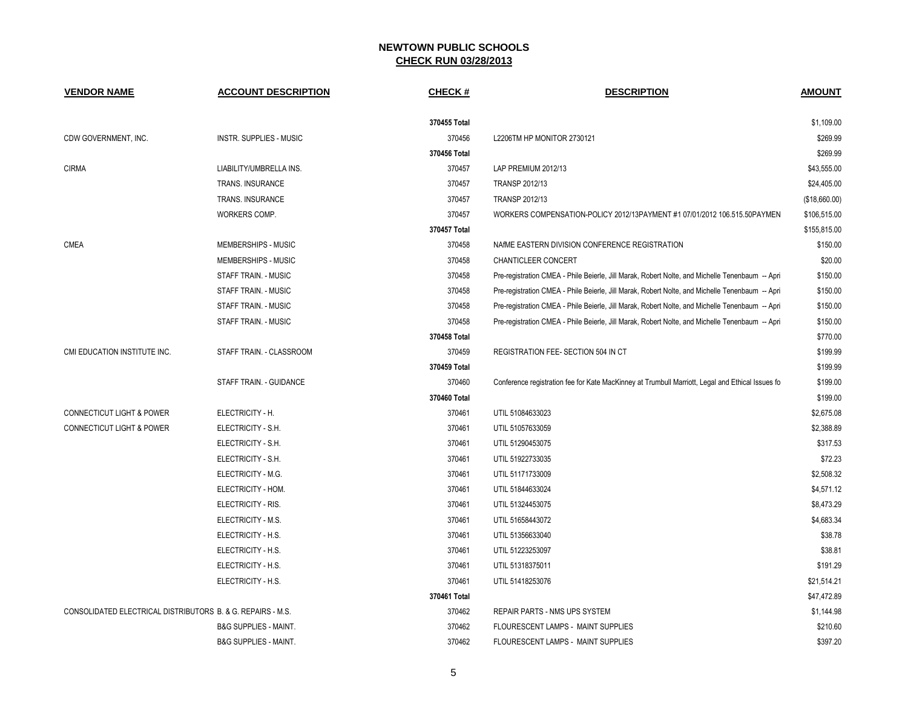| <b>VENDOR NAME</b>                                          | <b>ACCOUNT DESCRIPTION</b>       | CHECK#       | <b>DESCRIPTION</b>                                                                               | <b>AMOUNT</b> |  |
|-------------------------------------------------------------|----------------------------------|--------------|--------------------------------------------------------------------------------------------------|---------------|--|
|                                                             |                                  | 370455 Total |                                                                                                  | \$1,109.00    |  |
| CDW GOVERNMENT, INC.                                        | <b>INSTR. SUPPLIES - MUSIC</b>   | 370456       | L2206TM HP MONITOR 2730121                                                                       | \$269.99      |  |
|                                                             |                                  | 370456 Total |                                                                                                  | \$269.99      |  |
| <b>CIRMA</b>                                                | LIABILITY/UMBRELLA INS.          | 370457       | LAP PREMIUM 2012/13                                                                              | \$43,555.00   |  |
|                                                             | <b>TRANS. INSURANCE</b>          | 370457       | TRANSP 2012/13                                                                                   | \$24,405.00   |  |
|                                                             | TRANS. INSURANCE                 | 370457       | TRANSP 2012/13                                                                                   | (\$18,660.00) |  |
|                                                             | WORKERS COMP.                    | 370457       | WORKERS COMPENSATION-POLICY 2012/13PAYMENT #1 07/01/2012 106.515.50PAYMEN                        | \$106,515.00  |  |
|                                                             |                                  | 370457 Total |                                                                                                  | \$155,815.00  |  |
| <b>CMEA</b>                                                 | MEMBERSHIPS - MUSIC              | 370458       | NAIME EASTERN DIVISION CONFERENCE REGISTRATION                                                   | \$150.00      |  |
|                                                             | MEMBERSHIPS - MUSIC              | 370458       | <b>CHANTICLEER CONCERT</b>                                                                       | \$20.00       |  |
|                                                             | STAFF TRAIN. - MUSIC             | 370458       | Pre-registration CMEA - Phile Beierle, Jill Marak, Robert Nolte, and Michelle Tenenbaum -- Apri  | \$150.00      |  |
|                                                             | STAFF TRAIN. - MUSIC             | 370458       | Pre-registration CMEA - Phile Beierle, Jill Marak, Robert Nolte, and Michelle Tenenbaum -- Apri  | \$150.00      |  |
|                                                             | STAFF TRAIN. - MUSIC             | 370458       | Pre-registration CMEA - Phile Beierle, Jill Marak, Robert Nolte, and Michelle Tenenbaum -- Apri  | \$150.00      |  |
|                                                             | STAFF TRAIN. - MUSIC             | 370458       | Pre-registration CMEA - Phile Beierle, Jill Marak, Robert Nolte, and Michelle Tenenbaum -- Apri  | \$150.00      |  |
|                                                             |                                  | 370458 Total |                                                                                                  | \$770.00      |  |
| CMI EDUCATION INSTITUTE INC.                                | STAFF TRAIN. - CLASSROOM         | 370459       | REGISTRATION FEE- SECTION 504 IN CT                                                              | \$199.99      |  |
|                                                             |                                  | 370459 Total |                                                                                                  | \$199.99      |  |
|                                                             | STAFF TRAIN. - GUIDANCE          | 370460       | Conference registration fee for Kate MacKinney at Trumbull Marriott, Legal and Ethical Issues fo | \$199.00      |  |
|                                                             |                                  | 370460 Total |                                                                                                  | \$199.00      |  |
| <b>CONNECTICUT LIGHT &amp; POWER</b>                        | ELECTRICITY - H.                 | 370461       | UTIL 51084633023                                                                                 | \$2,675.08    |  |
| <b>CONNECTICUT LIGHT &amp; POWER</b>                        | ELECTRICITY - S.H.               | 370461       | UTIL 51057633059                                                                                 | \$2,388.89    |  |
|                                                             | ELECTRICITY - S.H.               | 370461       | UTIL 51290453075                                                                                 | \$317.53      |  |
|                                                             | ELECTRICITY - S.H.               | 370461       | UTIL 51922733035                                                                                 | \$72.23       |  |
|                                                             | ELECTRICITY - M.G.               | 370461       | UTIL 51171733009                                                                                 | \$2,508.32    |  |
|                                                             | ELECTRICITY - HOM.               | 370461       | UTIL 51844633024                                                                                 | \$4,571.12    |  |
|                                                             | ELECTRICITY - RIS.               | 370461       | UTIL 51324453075                                                                                 | \$8,473.29    |  |
|                                                             | ELECTRICITY - M.S.               | 370461       | UTIL 51658443072                                                                                 | \$4,683.34    |  |
|                                                             | ELECTRICITY - H.S.               | 370461       | UTIL 51356633040                                                                                 | \$38.78       |  |
|                                                             | ELECTRICITY - H.S.               | 370461       | UTIL 51223253097                                                                                 | \$38.81       |  |
|                                                             | ELECTRICITY - H.S.               | 370461       | UTIL 51318375011                                                                                 | \$191.29      |  |
|                                                             | ELECTRICITY - H.S.               | 370461       | UTIL 51418253076                                                                                 | \$21.514.21   |  |
|                                                             |                                  | 370461 Total |                                                                                                  | \$47,472.89   |  |
| CONSOLIDATED ELECTRICAL DISTRIBUTORS B. & G. REPAIRS - M.S. |                                  | 370462       | REPAIR PARTS - NMS UPS SYSTEM                                                                    | \$1,144.98    |  |
|                                                             | <b>B&amp;G SUPPLIES - MAINT.</b> | 370462       | FLOURESCENT LAMPS - MAINT SUPPLIES                                                               | \$210.60      |  |
|                                                             | <b>B&amp;G SUPPLIES - MAINT.</b> | 370462       | FLOURESCENT LAMPS - MAINT SUPPLIES                                                               | \$397.20      |  |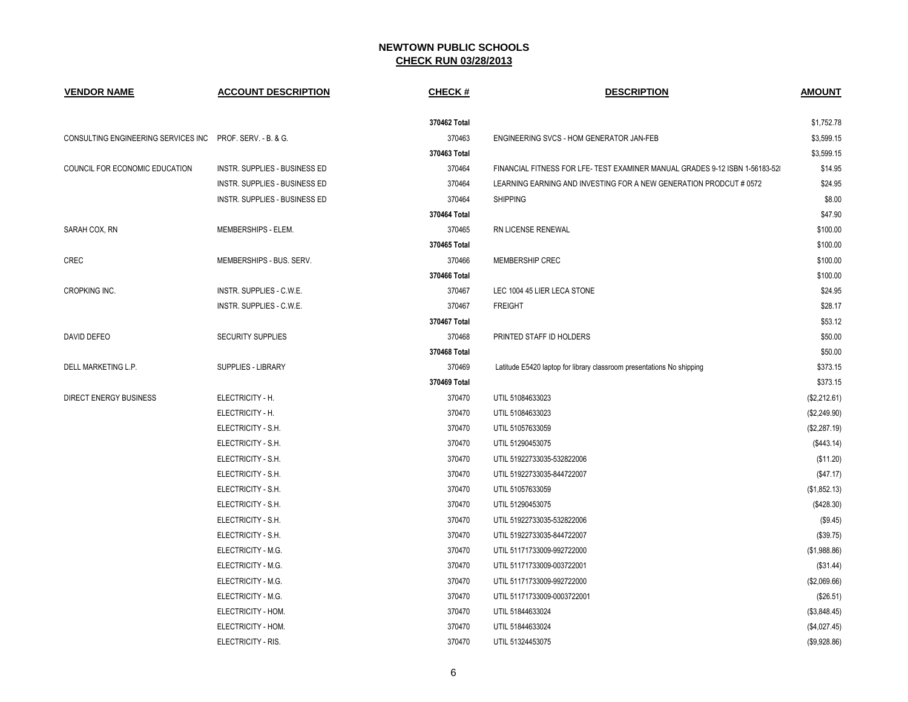| <b>VENDOR NAME</b>                                        | <b>ACCOUNT DESCRIPTION</b>    | <b>CHECK#</b> | <b>DESCRIPTION</b>                                                           | <b>AMOUNT</b> |
|-----------------------------------------------------------|-------------------------------|---------------|------------------------------------------------------------------------------|---------------|
|                                                           |                               | 370462 Total  |                                                                              | \$1,752.78    |
| CONSULTING ENGINEERING SERVICES INC PROF. SERV. - B. & G. |                               | 370463        | ENGINEERING SVCS - HOM GENERATOR JAN-FEB                                     | \$3,599.15    |
|                                                           |                               | 370463 Total  |                                                                              | \$3,599.15    |
| COUNCIL FOR ECONOMIC EDUCATION                            | INSTR. SUPPLIES - BUSINESS ED | 370464        | FINANCIAL FITNESS FOR LFE- TEST EXAMINER MANUAL GRADES 9-12 ISBN 1-56183-528 | \$14.95       |
|                                                           | INSTR. SUPPLIES - BUSINESS ED | 370464        | LEARNING EARNING AND INVESTING FOR A NEW GENERATION PRODCUT # 0572           | \$24.95       |
|                                                           | INSTR. SUPPLIES - BUSINESS ED | 370464        | <b>SHIPPING</b>                                                              | \$8.00        |
|                                                           |                               | 370464 Total  |                                                                              | \$47.90       |
| SARAH COX, RN                                             | MEMBERSHIPS - ELEM.           | 370465        | RN LICENSE RENEWAL                                                           | \$100.00      |
|                                                           |                               | 370465 Total  |                                                                              | \$100.00      |
| CREC                                                      | MEMBERSHIPS - BUS, SERV.      | 370466        | <b>MEMBERSHIP CREC</b>                                                       | \$100.00      |
|                                                           |                               | 370466 Total  |                                                                              | \$100.00      |
| <b>CROPKING INC.</b>                                      | INSTR. SUPPLIES - C.W.E.      | 370467        | LEC 1004 45 LIER LECA STONE                                                  | \$24.95       |
|                                                           | INSTR. SUPPLIES - C.W.E.      | 370467        | <b>FREIGHT</b>                                                               | \$28.17       |
|                                                           |                               | 370467 Total  |                                                                              | \$53.12       |
| DAVID DEFEO                                               | SECURITY SUPPLIES             | 370468        | PRINTED STAFF ID HOLDERS                                                     | \$50.00       |
|                                                           |                               | 370468 Total  |                                                                              | \$50.00       |
| DELL MARKETING L.P.                                       | SUPPLIES - LIBRARY            | 370469        | Latitude E5420 laptop for library classroom presentations No shipping        | \$373.15      |
|                                                           |                               | 370469 Total  |                                                                              | \$373.15      |
| <b>DIRECT ENERGY BUSINESS</b>                             | ELECTRICITY - H.              | 370470        | UTIL 51084633023                                                             | (\$2,212.61)  |
|                                                           | ELECTRICITY - H.              | 370470        | UTIL 51084633023                                                             | (\$2,249.90)  |
|                                                           | ELECTRICITY - S.H.            | 370470        | UTIL 51057633059                                                             | (\$2,287.19)  |
|                                                           | ELECTRICITY - S.H.            | 370470        | UTIL 51290453075                                                             | (\$443.14)    |
|                                                           | ELECTRICITY - S.H.            | 370470        | UTIL 51922733035-532822006                                                   | (\$11.20)     |
|                                                           | ELECTRICITY - S.H.            | 370470        | UTIL 51922733035-844722007                                                   | (\$47.17)     |
|                                                           | ELECTRICITY - S.H.            | 370470        | UTIL 51057633059                                                             | (\$1,852.13)  |
|                                                           | ELECTRICITY - S.H.            | 370470        | UTIL 51290453075                                                             | (\$428.30)    |
|                                                           | ELECTRICITY - S.H.            | 370470        | UTIL 51922733035-532822006                                                   | (\$9.45)      |
|                                                           | ELECTRICITY - S.H.            | 370470        | UTIL 51922733035-844722007                                                   | (\$39.75)     |
|                                                           | ELECTRICITY - M.G.            | 370470        | UTIL 51171733009-992722000                                                   | (\$1,988.86)  |
|                                                           | ELECTRICITY - M.G.            | 370470        | UTIL 51171733009-003722001                                                   | (\$31.44)     |
|                                                           | ELECTRICITY - M.G.            | 370470        | UTIL 51171733009-992722000                                                   | (\$2,069.66)  |
|                                                           | ELECTRICITY - M.G.            | 370470        | UTIL 51171733009-0003722001                                                  | (\$26.51)     |
|                                                           | ELECTRICITY - HOM.            | 370470        | UTIL 51844633024                                                             | (\$3,848.45)  |
|                                                           | ELECTRICITY - HOM.            | 370470        | UTIL 51844633024                                                             | (\$4,027.45)  |
|                                                           | ELECTRICITY - RIS.            | 370470        | UTIL 51324453075                                                             | (\$9,928.86)  |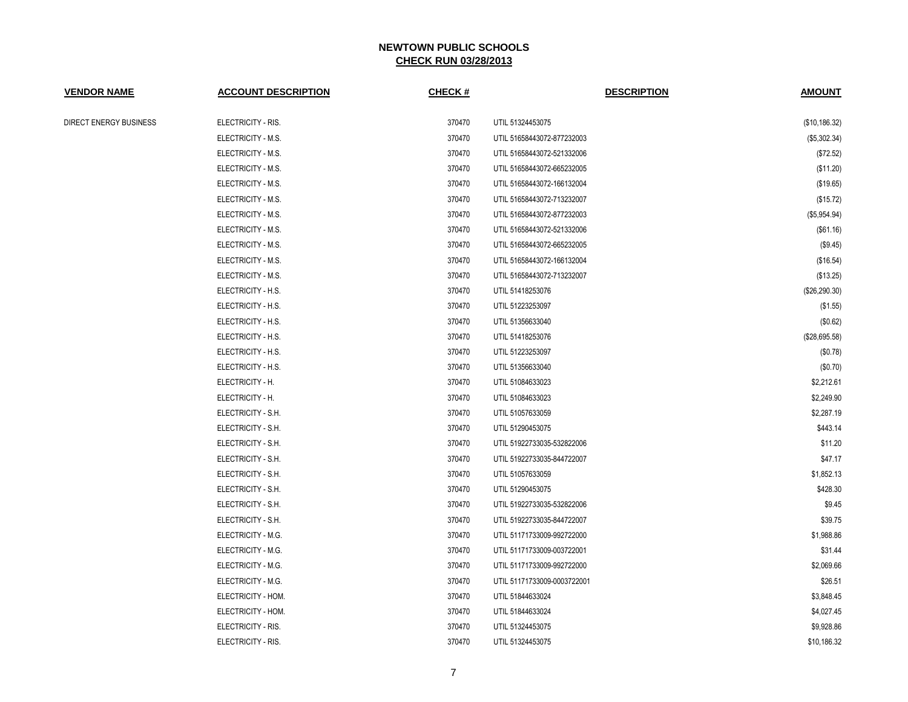| <u>VENDOR NAME</u>     | <b>ACCOUNT DESCRIPTION</b> | CHECK # | <b>DESCRIPTION</b>          | <b>AMOUNT</b>   |
|------------------------|----------------------------|---------|-----------------------------|-----------------|
| DIRECT ENERGY BUSINESS | ELECTRICITY - RIS.         | 370470  | UTIL 51324453075            | (\$10, 186.32)  |
|                        | ELECTRICITY - M.S.         | 370470  | UTIL 51658443072-877232003  | (\$5,302.34)    |
|                        | ELECTRICITY - M.S.         | 370470  | UTIL 51658443072-521332006  | (\$72.52)       |
|                        | ELECTRICITY - M.S.         | 370470  | UTIL 51658443072-665232005  | (\$11.20)       |
|                        | ELECTRICITY - M.S.         | 370470  | UTIL 51658443072-166132004  | (\$19.65)       |
|                        | ELECTRICITY - M.S.         | 370470  | UTIL 51658443072-713232007  | (\$15.72)       |
|                        | ELECTRICITY - M.S.         | 370470  | UTIL 51658443072-877232003  | (\$5,954.94)    |
|                        | ELECTRICITY - M.S.         | 370470  | UTIL 51658443072-521332006  | (\$61.16)       |
|                        | ELECTRICITY - M.S.         | 370470  | UTIL 51658443072-665232005  | (\$9.45)        |
|                        | ELECTRICITY - M.S.         | 370470  | UTIL 51658443072-166132004  | (\$16.54)       |
|                        | ELECTRICITY - M.S.         | 370470  | UTIL 51658443072-713232007  | (\$13.25)       |
|                        | ELECTRICITY - H.S.         | 370470  | UTIL 51418253076            | $(\$26,290.30)$ |
|                        | ELECTRICITY - H.S.         | 370470  | UTIL 51223253097            | (\$1.55)        |
|                        | ELECTRICITY - H.S.         | 370470  | UTIL 51356633040            | (\$0.62)        |
|                        | ELECTRICITY - H.S.         | 370470  | UTIL 51418253076            | (\$28,695.58)   |
|                        | ELECTRICITY - H.S.         | 370470  | UTIL 51223253097            | (\$0.78)        |
|                        | ELECTRICITY - H.S.         | 370470  | UTIL 51356633040            | (\$0.70)        |
|                        | ELECTRICITY - H.           | 370470  | UTIL 51084633023            | \$2,212.61      |
|                        | ELECTRICITY - H.           | 370470  | UTIL 51084633023            | \$2,249.90      |
|                        | ELECTRICITY - S.H.         | 370470  | UTIL 51057633059            | \$2,287.19      |
|                        | ELECTRICITY - S.H.         | 370470  | UTIL 51290453075            | \$443.14        |
|                        | ELECTRICITY - S.H.         | 370470  | UTIL 51922733035-532822006  | \$11.20         |
|                        | ELECTRICITY - S.H.         | 370470  | UTIL 51922733035-844722007  | \$47.17         |
|                        | ELECTRICITY - S.H.         | 370470  | UTIL 51057633059            | \$1,852.13      |
|                        | ELECTRICITY - S.H.         | 370470  | UTIL 51290453075            | \$428.30        |
|                        | ELECTRICITY - S.H.         | 370470  | UTIL 51922733035-532822006  | \$9.45          |
|                        | ELECTRICITY - S.H.         | 370470  | UTIL 51922733035-844722007  | \$39.75         |
|                        | ELECTRICITY - M.G.         | 370470  | UTIL 51171733009-992722000  | \$1,988.86      |
|                        | ELECTRICITY - M.G.         | 370470  | UTIL 51171733009-003722001  | \$31.44         |
|                        | ELECTRICITY - M.G.         | 370470  | UTIL 51171733009-992722000  | \$2,069.66      |
|                        | ELECTRICITY - M.G.         | 370470  | UTIL 51171733009-0003722001 | \$26.51         |
|                        | ELECTRICITY - HOM.         | 370470  | UTIL 51844633024            | \$3,848.45      |
|                        | ELECTRICITY - HOM.         | 370470  | UTIL 51844633024            | \$4,027.45      |
|                        | ELECTRICITY - RIS.         | 370470  | UTIL 51324453075            | \$9,928.86      |
|                        | ELECTRICITY - RIS.         | 370470  | UTIL 51324453075            | \$10,186.32     |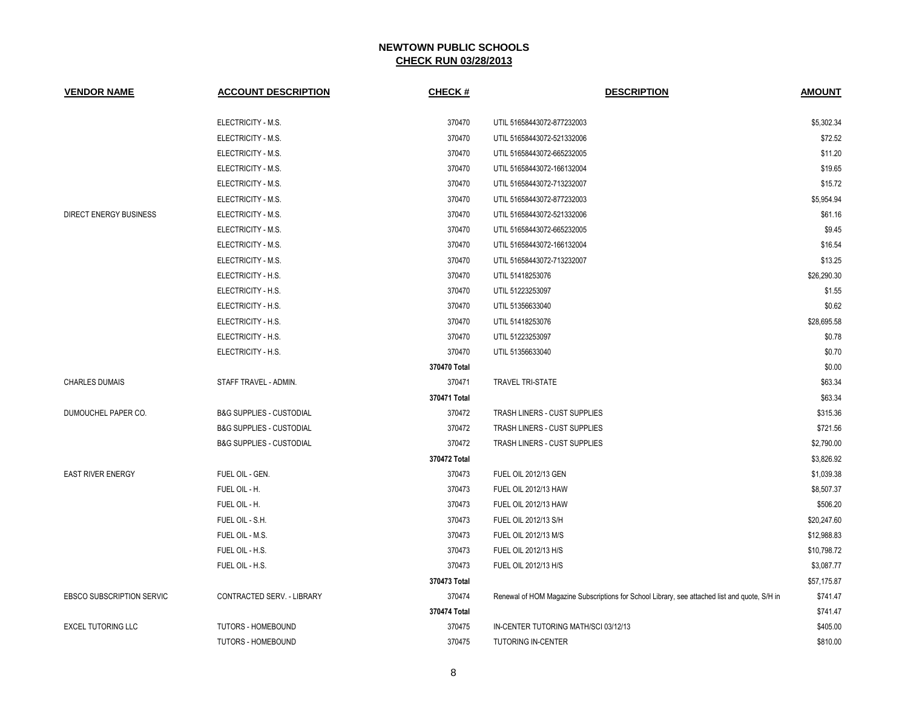| <b>VENDOR NAME</b>               | <b>ACCOUNT DESCRIPTION</b>          | CHECK #      | <b>DESCRIPTION</b>                                                                            | <b>AMOUNT</b> |
|----------------------------------|-------------------------------------|--------------|-----------------------------------------------------------------------------------------------|---------------|
|                                  | ELECTRICITY - M.S.                  | 370470       | UTIL 51658443072-877232003                                                                    | \$5,302.34    |
|                                  | ELECTRICITY - M.S.                  | 370470       | UTIL 51658443072-521332006                                                                    | \$72.52       |
|                                  | ELECTRICITY - M.S.                  | 370470       | UTIL 51658443072-665232005                                                                    | \$11.20       |
|                                  | ELECTRICITY - M.S.                  | 370470       | UTIL 51658443072-166132004                                                                    | \$19.65       |
|                                  | ELECTRICITY - M.S.                  | 370470       | UTIL 51658443072-713232007                                                                    | \$15.72       |
|                                  | ELECTRICITY - M.S.                  | 370470       | UTIL 51658443072-877232003                                                                    | \$5,954.94    |
| DIRECT ENERGY BUSINESS           | ELECTRICITY - M.S.                  | 370470       | UTIL 51658443072-521332006                                                                    | \$61.16       |
|                                  | ELECTRICITY - M.S.                  | 370470       | UTIL 51658443072-665232005                                                                    | \$9.45        |
|                                  | ELECTRICITY - M.S.                  | 370470       | UTIL 51658443072-166132004                                                                    | \$16.54       |
|                                  | ELECTRICITY - M.S.                  | 370470       | UTIL 51658443072-713232007                                                                    | \$13.25       |
|                                  | ELECTRICITY - H.S.                  | 370470       | UTIL 51418253076                                                                              | \$26,290.30   |
|                                  | ELECTRICITY - H.S.                  | 370470       | UTIL 51223253097                                                                              | \$1.55        |
|                                  | ELECTRICITY - H.S.                  | 370470       | UTIL 51356633040                                                                              | \$0.62        |
|                                  | ELECTRICITY - H.S.                  | 370470       | UTIL 51418253076                                                                              | \$28,695.58   |
|                                  | ELECTRICITY - H.S.                  | 370470       | UTIL 51223253097                                                                              | \$0.78        |
|                                  | ELECTRICITY - H.S.                  | 370470       | UTIL 51356633040                                                                              | \$0.70        |
|                                  |                                     | 370470 Total |                                                                                               | \$0.00        |
| <b>CHARLES DUMAIS</b>            | STAFF TRAVEL - ADMIN.               | 370471       | <b>TRAVEL TRI-STATE</b>                                                                       | \$63.34       |
|                                  |                                     | 370471 Total |                                                                                               | \$63.34       |
| DUMOUCHEL PAPER CO.              | <b>B&amp;G SUPPLIES - CUSTODIAL</b> | 370472       | TRASH LINERS - CUST SUPPLIES                                                                  | \$315.36      |
|                                  | <b>B&amp;G SUPPLIES - CUSTODIAL</b> | 370472       | TRASH LINERS - CUST SUPPLIES                                                                  | \$721.56      |
|                                  | <b>B&amp;G SUPPLIES - CUSTODIAL</b> | 370472       | TRASH LINERS - CUST SUPPLIES                                                                  | \$2,790.00    |
|                                  |                                     | 370472 Total |                                                                                               | \$3,826.92    |
| <b>EAST RIVER ENERGY</b>         | FUEL OIL - GEN.                     | 370473       | FUEL OIL 2012/13 GEN                                                                          | \$1,039.38    |
|                                  | FUEL OIL - H.                       | 370473       | <b>FUEL OIL 2012/13 HAW</b>                                                                   | \$8,507.37    |
|                                  | FUEL OIL - H.                       | 370473       | <b>FUEL OIL 2012/13 HAW</b>                                                                   | \$506.20      |
|                                  | FUEL OIL - S.H.                     | 370473       | FUEL OIL 2012/13 S/H                                                                          | \$20,247.60   |
|                                  | FUEL OIL - M.S.                     | 370473       | FUEL OIL 2012/13 M/S                                                                          | \$12,988.83   |
|                                  | FUEL OIL - H.S.                     | 370473       | FUEL OIL 2012/13 H/S                                                                          | \$10,798.72   |
|                                  | FUEL OIL - H.S.                     | 370473       | FUEL OIL 2012/13 H/S                                                                          | \$3,087.77    |
|                                  |                                     | 370473 Total |                                                                                               | \$57,175.87   |
| <b>EBSCO SUBSCRIPTION SERVIC</b> | CONTRACTED SERV. - LIBRARY          | 370474       | Renewal of HOM Magazine Subscriptions for School Library, see attached list and quote, S/H in | \$741.47      |
|                                  |                                     | 370474 Total |                                                                                               | \$741.47      |
| <b>EXCEL TUTORING LLC</b>        | TUTORS - HOMEBOUND                  | 370475       | IN-CENTER TUTORING MATH/SCI 03/12/13                                                          | \$405.00      |
|                                  | <b>TUTORS - HOMEBOUND</b>           | 370475       | <b>TUTORING IN-CENTER</b>                                                                     | \$810.00      |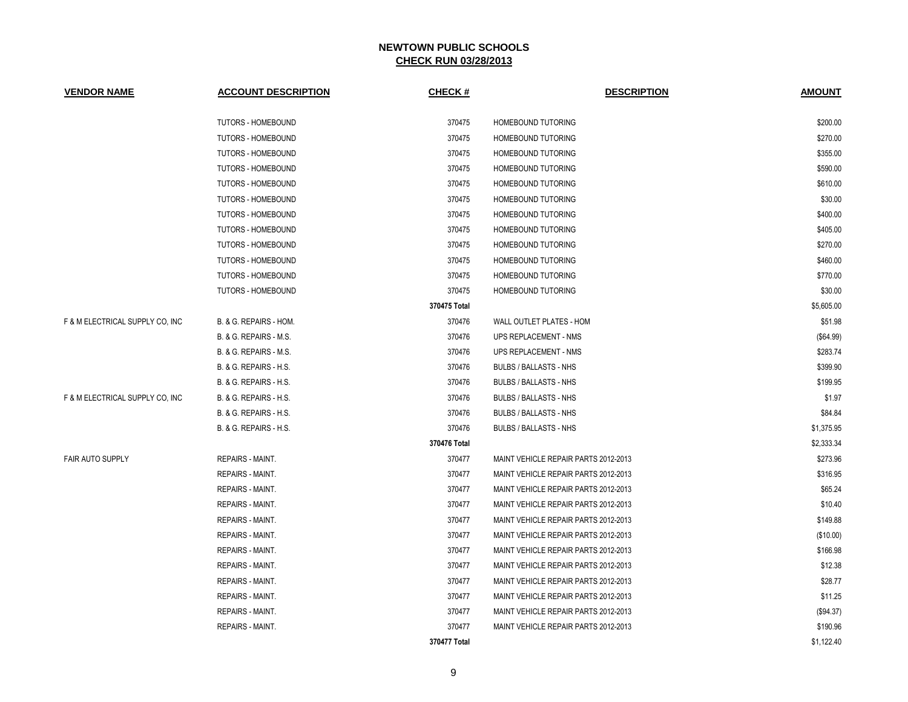| <b>VENDOR NAME</b>              | <b>ACCOUNT DESCRIPTION</b>        | CHECK #      | <b>DESCRIPTION</b>                   | <b>AMOUNT</b> |
|---------------------------------|-----------------------------------|--------------|--------------------------------------|---------------|
|                                 | <b>TUTORS - HOMEBOUND</b>         | 370475       | HOMEBOUND TUTORING                   | \$200.00      |
|                                 | <b>TUTORS - HOMEBOUND</b>         | 370475       | HOMEBOUND TUTORING                   | \$270.00      |
|                                 | <b>TUTORS - HOMEBOUND</b>         | 370475       | HOMEBOUND TUTORING                   | \$355.00      |
|                                 | <b>TUTORS - HOMEBOUND</b>         | 370475       | HOMEBOUND TUTORING                   | \$590.00      |
|                                 | <b>TUTORS - HOMEBOUND</b>         | 370475       | <b>HOMEBOUND TUTORING</b>            | \$610.00      |
|                                 | <b>TUTORS - HOMEBOUND</b>         | 370475       | HOMEBOUND TUTORING                   | \$30.00       |
|                                 | <b>TUTORS - HOMEBOUND</b>         | 370475       | HOMEBOUND TUTORING                   | \$400.00      |
|                                 | TUTORS - HOMEBOUND                | 370475       | HOMEBOUND TUTORING                   | \$405.00      |
|                                 | <b>TUTORS - HOMEBOUND</b>         | 370475       | HOMEBOUND TUTORING                   | \$270.00      |
|                                 | <b>TUTORS - HOMEBOUND</b>         | 370475       | <b>HOMEBOUND TUTORING</b>            | \$460.00      |
|                                 | <b>TUTORS - HOMEBOUND</b>         | 370475       | <b>HOMEBOUND TUTORING</b>            | \$770.00      |
|                                 | <b>TUTORS - HOMEBOUND</b>         | 370475       | <b>HOMEBOUND TUTORING</b>            | \$30.00       |
|                                 |                                   | 370475 Total |                                      | \$5,605.00    |
| F & M ELECTRICAL SUPPLY CO, INC | B. & G. REPAIRS - HOM.            | 370476       | WALL OUTLET PLATES - HOM             | \$51.98       |
|                                 | B. & G. REPAIRS - M.S.            | 370476       | UPS REPLACEMENT - NMS                | (\$64.99)     |
|                                 | B. & G. REPAIRS - M.S.            | 370476       | UPS REPLACEMENT - NMS                | \$283.74      |
|                                 | <b>B. &amp; G. REPAIRS - H.S.</b> | 370476       | <b>BULBS / BALLASTS - NHS</b>        | \$399.90      |
|                                 | <b>B. &amp; G. REPAIRS - H.S.</b> | 370476       | <b>BULBS / BALLASTS - NHS</b>        | \$199.95      |
| F & M ELECTRICAL SUPPLY CO. INC | <b>B. &amp; G. REPAIRS - H.S.</b> | 370476       | <b>BULBS / BALLASTS - NHS</b>        | \$1.97        |
|                                 | B. & G. REPAIRS - H.S.            | 370476       | <b>BULBS / BALLASTS - NHS</b>        | \$84.84       |
|                                 | B. & G. REPAIRS - H.S.            | 370476       | <b>BULBS / BALLASTS - NHS</b>        | \$1,375.95    |
|                                 |                                   | 370476 Total |                                      | \$2,333.34    |
| <b>FAIR AUTO SUPPLY</b>         | REPAIRS - MAINT.                  | 370477       | MAINT VEHICLE REPAIR PARTS 2012-2013 | \$273.96      |
|                                 | REPAIRS - MAINT.                  | 370477       | MAINT VEHICLE REPAIR PARTS 2012-2013 | \$316.95      |
|                                 | REPAIRS - MAINT.                  | 370477       | MAINT VEHICLE REPAIR PARTS 2012-2013 | \$65.24       |
|                                 | REPAIRS - MAINT.                  | 370477       | MAINT VEHICLE REPAIR PARTS 2012-2013 | \$10.40       |
|                                 | REPAIRS - MAINT.                  | 370477       | MAINT VEHICLE REPAIR PARTS 2012-2013 | \$149.88      |
|                                 | REPAIRS - MAINT.                  | 370477       | MAINT VEHICLE REPAIR PARTS 2012-2013 | (\$10.00)     |
|                                 | <b>REPAIRS - MAINT.</b>           | 370477       | MAINT VEHICLE REPAIR PARTS 2012-2013 | \$166.98      |
|                                 | REPAIRS - MAINT.                  | 370477       | MAINT VEHICLE REPAIR PARTS 2012-2013 | \$12.38       |
|                                 | <b>REPAIRS - MAINT.</b>           | 370477       | MAINT VEHICLE REPAIR PARTS 2012-2013 | \$28.77       |
|                                 | REPAIRS - MAINT.                  | 370477       | MAINT VEHICLE REPAIR PARTS 2012-2013 | \$11.25       |
|                                 | REPAIRS - MAINT.                  | 370477       | MAINT VEHICLE REPAIR PARTS 2012-2013 | (\$94.37)     |
|                                 | <b>REPAIRS - MAINT.</b>           | 370477       | MAINT VEHICLE REPAIR PARTS 2012-2013 | \$190.96      |
|                                 |                                   | 370477 Total |                                      | \$1,122.40    |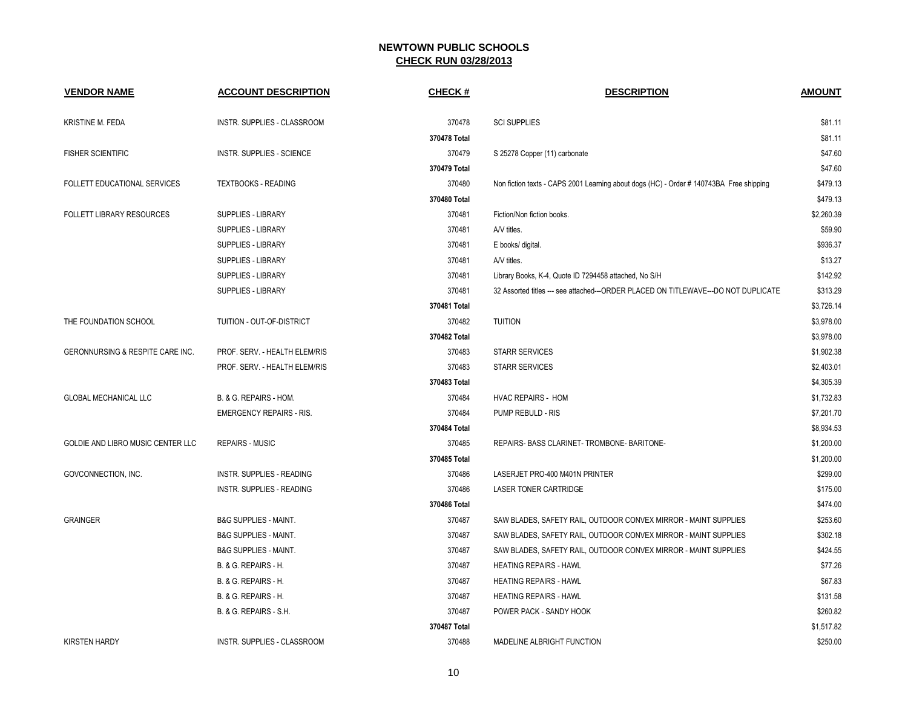| <b>VENDOR NAME</b>                | <b>ACCOUNT DESCRIPTION</b>        | CHECK #      | <b>DESCRIPTION</b>                                                                     | <b>AMOUNT</b> |
|-----------------------------------|-----------------------------------|--------------|----------------------------------------------------------------------------------------|---------------|
| KRISTINE M. FEDA                  | INSTR. SUPPLIES - CLASSROOM       | 370478       | <b>SCI SUPPLIES</b>                                                                    | \$81.11       |
|                                   |                                   | 370478 Total |                                                                                        | \$81.11       |
| <b>FISHER SCIENTIFIC</b>          | INSTR. SUPPLIES - SCIENCE         | 370479       | S 25278 Copper (11) carbonate                                                          | \$47.60       |
|                                   |                                   | 370479 Total |                                                                                        | \$47.60       |
| FOLLETT EDUCATIONAL SERVICES      | <b>TEXTBOOKS - READING</b>        | 370480       | Non fiction texts - CAPS 2001 Learning about dogs (HC) - Order #140743BA Free shipping | \$479.13      |
|                                   |                                   | 370480 Total |                                                                                        | \$479.13      |
| <b>FOLLETT LIBRARY RESOURCES</b>  | SUPPLIES - LIBRARY                | 370481       | Fiction/Non fiction books.                                                             | \$2,260.39    |
|                                   | SUPPLIES - LIBRARY                | 370481       | A/V titles.                                                                            | \$59.90       |
|                                   | SUPPLIES - LIBRARY                | 370481       | E books/ digital.                                                                      | \$936.37      |
|                                   | SUPPLIES - LIBRARY                | 370481       | A/V titles.                                                                            | \$13.27       |
|                                   | SUPPLIES - LIBRARY                | 370481       | Library Books, K-4, Quote ID 7294458 attached, No S/H                                  | \$142.92      |
|                                   | SUPPLIES - LIBRARY                | 370481       | 32 Assorted titles --- see attached---ORDER PLACED ON TITLEWAVE--- DO NOT DUPLICATE    | \$313.29      |
|                                   |                                   | 370481 Total |                                                                                        | \$3,726.14    |
| THE FOUNDATION SCHOOL             | TUITION - OUT-OF-DISTRICT         | 370482       | <b>TUITION</b>                                                                         | \$3,978.00    |
|                                   |                                   | 370482 Total |                                                                                        | \$3,978.00    |
| GERONNURSING & RESPITE CARE INC.  | PROF. SERV. - HEALTH ELEM/RIS     | 370483       | <b>STARR SERVICES</b>                                                                  | \$1,902.38    |
|                                   | PROF. SERV. - HEALTH ELEM/RIS     | 370483       | <b>STARR SERVICES</b>                                                                  | \$2,403.01    |
|                                   |                                   | 370483 Total |                                                                                        | \$4,305.39    |
| GLOBAL MECHANICAL LLC             | B. & G. REPAIRS - HOM.            | 370484       | <b>HVAC REPAIRS - HOM</b>                                                              | \$1,732.83    |
|                                   | <b>EMERGENCY REPAIRS - RIS.</b>   | 370484       | PUMP REBULD - RIS                                                                      | \$7,201.70    |
|                                   |                                   | 370484 Total |                                                                                        | \$8,934.53    |
| GOLDIE AND LIBRO MUSIC CENTER LLC | <b>REPAIRS - MUSIC</b>            | 370485       | REPAIRS- BASS CLARINET- TROMBONE- BARITONE-                                            | \$1,200.00    |
|                                   |                                   | 370485 Total |                                                                                        | \$1,200.00    |
| GOVCONNECTION, INC.               | <b>INSTR. SUPPLIES - READING</b>  | 370486       | LASERJET PRO-400 M401N PRINTER                                                         | \$299.00      |
|                                   | <b>INSTR. SUPPLIES - READING</b>  | 370486       | <b>LASER TONER CARTRIDGE</b>                                                           | \$175.00      |
|                                   |                                   | 370486 Total |                                                                                        | \$474.00      |
| <b>GRAINGER</b>                   | <b>B&amp;G SUPPLIES - MAINT.</b>  | 370487       | SAW BLADES, SAFETY RAIL, OUTDOOR CONVEX MIRROR - MAINT SUPPLIES                        | \$253.60      |
|                                   | <b>B&amp;G SUPPLIES - MAINT.</b>  | 370487       | SAW BLADES, SAFETY RAIL, OUTDOOR CONVEX MIRROR - MAINT SUPPLIES                        | \$302.18      |
|                                   | <b>B&amp;G SUPPLIES - MAINT.</b>  | 370487       | SAW BLADES, SAFETY RAIL, OUTDOOR CONVEX MIRROR - MAINT SUPPLIES                        | \$424.55      |
|                                   | B. & G. REPAIRS - H.              | 370487       | <b>HEATING REPAIRS - HAWL</b>                                                          | \$77.26       |
|                                   | <b>B. &amp; G. REPAIRS - H.</b>   | 370487       | <b>HEATING REPAIRS - HAWL</b>                                                          | \$67.83       |
|                                   | <b>B. &amp; G. REPAIRS - H.</b>   | 370487       | <b>HEATING REPAIRS - HAWL</b>                                                          | \$131.58      |
|                                   | <b>B. &amp; G. REPAIRS - S.H.</b> | 370487       | POWER PACK - SANDY HOOK                                                                | \$260.82      |
|                                   |                                   | 370487 Total |                                                                                        | \$1,517.82    |
| <b>KIRSTEN HARDY</b>              | INSTR. SUPPLIES - CLASSROOM       | 370488       | MADELINE ALBRIGHT FUNCTION                                                             | \$250.00      |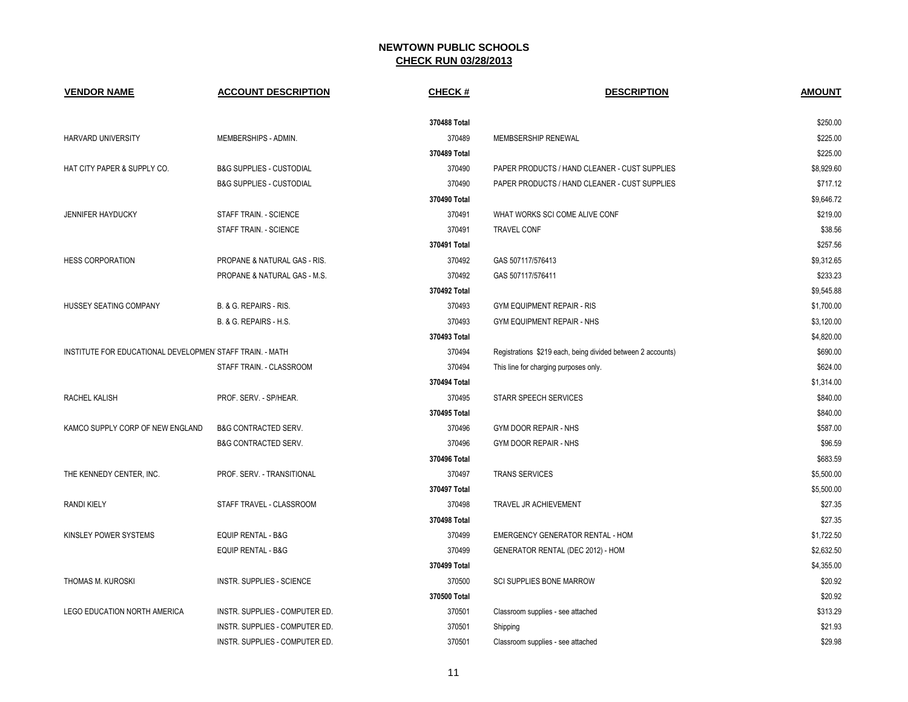| <b>VENDOR NAME</b>                                       | <b>ACCOUNT DESCRIPTION</b>          | <b>CHECK#</b> | <b>DESCRIPTION</b>                                          | <b>AMOUNT</b> |
|----------------------------------------------------------|-------------------------------------|---------------|-------------------------------------------------------------|---------------|
|                                                          |                                     | 370488 Total  |                                                             | \$250.00      |
| HARVARD UNIVERSITY                                       | MEMBERSHIPS - ADMIN.                | 370489        | MEMBSERSHIP RENEWAL                                         | \$225.00      |
|                                                          |                                     | 370489 Total  |                                                             | \$225.00      |
| HAT CITY PAPER & SUPPLY CO.                              | <b>B&amp;G SUPPLIES - CUSTODIAL</b> | 370490        | PAPER PRODUCTS / HAND CLEANER - CUST SUPPLIES               | \$8,929.60    |
|                                                          | <b>B&amp;G SUPPLIES - CUSTODIAL</b> | 370490        | PAPER PRODUCTS / HAND CLEANER - CUST SUPPLIES               | \$717.12      |
|                                                          |                                     | 370490 Total  |                                                             | \$9,646.72    |
| <b>JENNIFER HAYDUCKY</b>                                 | STAFF TRAIN. - SCIENCE              | 370491        | WHAT WORKS SCI COME ALIVE CONF                              | \$219.00      |
|                                                          | STAFF TRAIN. - SCIENCE              | 370491        | <b>TRAVEL CONF</b>                                          | \$38.56       |
|                                                          |                                     | 370491 Total  |                                                             | \$257.56      |
| <b>HESS CORPORATION</b>                                  | PROPANE & NATURAL GAS - RIS.        | 370492        | GAS 507117/576413                                           | \$9,312.65    |
|                                                          | PROPANE & NATURAL GAS - M.S.        | 370492        | GAS 507117/576411                                           | \$233.23      |
|                                                          |                                     | 370492 Total  |                                                             | \$9,545.88    |
| HUSSEY SEATING COMPANY                                   | B. & G. REPAIRS - RIS.              | 370493        | <b>GYM EQUIPMENT REPAIR - RIS</b>                           | \$1,700.00    |
|                                                          | B. & G. REPAIRS - H.S.              | 370493        | <b>GYM EQUIPMENT REPAIR - NHS</b>                           | \$3,120.00    |
|                                                          |                                     | 370493 Total  |                                                             | \$4,820.00    |
| INSTITUTE FOR EDUCATIONAL DEVELOPMEN STAFF TRAIN. - MATH |                                     | 370494        | Registrations \$219 each, being divided between 2 accounts) | \$690.00      |
|                                                          | STAFF TRAIN. - CLASSROOM            | 370494        | This line for charging purposes only.                       | \$624.00      |
|                                                          |                                     | 370494 Total  |                                                             | \$1,314.00    |
| RACHEL KALISH                                            | PROF. SERV. - SP/HEAR.              | 370495        | STARR SPEECH SERVICES                                       | \$840.00      |
|                                                          |                                     | 370495 Total  |                                                             | \$840.00      |
| KAMCO SUPPLY CORP OF NEW ENGLAND                         | <b>B&amp;G CONTRACTED SERV.</b>     | 370496        | GYM DOOR REPAIR - NHS                                       | \$587.00      |
|                                                          | <b>B&amp;G CONTRACTED SERV.</b>     | 370496        | GYM DOOR REPAIR - NHS                                       | \$96.59       |
|                                                          |                                     | 370496 Total  |                                                             | \$683.59      |
| THE KENNEDY CENTER, INC.                                 | PROF. SERV. - TRANSITIONAL          | 370497        | <b>TRANS SERVICES</b>                                       | \$5,500.00    |
|                                                          |                                     | 370497 Total  |                                                             | \$5,500.00    |
| <b>RANDI KIELY</b>                                       | STAFF TRAVEL - CLASSROOM            | 370498        | TRAVEL JR ACHIEVEMENT                                       | \$27.35       |
|                                                          |                                     | 370498 Total  |                                                             | \$27.35       |
| KINSLEY POWER SYSTEMS                                    | <b>EQUIP RENTAL - B&amp;G</b>       | 370499        | EMERGENCY GENERATOR RENTAL - HOM                            | \$1,722.50    |
|                                                          | <b>EQUIP RENTAL - B&amp;G</b>       | 370499        | GENERATOR RENTAL (DEC 2012) - HOM                           | \$2,632.50    |
|                                                          |                                     | 370499 Total  |                                                             | \$4,355.00    |
| THOMAS M. KUROSKI                                        | INSTR. SUPPLIES - SCIENCE           | 370500        | <b>SCI SUPPLIES BONE MARROW</b>                             | \$20.92       |
|                                                          |                                     | 370500 Total  |                                                             | \$20.92       |
| LEGO EDUCATION NORTH AMERICA                             | INSTR. SUPPLIES - COMPUTER ED.      | 370501        | Classroom supplies - see attached                           | \$313.29      |
|                                                          | INSTR. SUPPLIES - COMPUTER ED.      | 370501        | Shipping                                                    | \$21.93       |
|                                                          | INSTR. SUPPLIES - COMPUTER ED.      | 370501        | Classroom supplies - see attached                           | \$29.98       |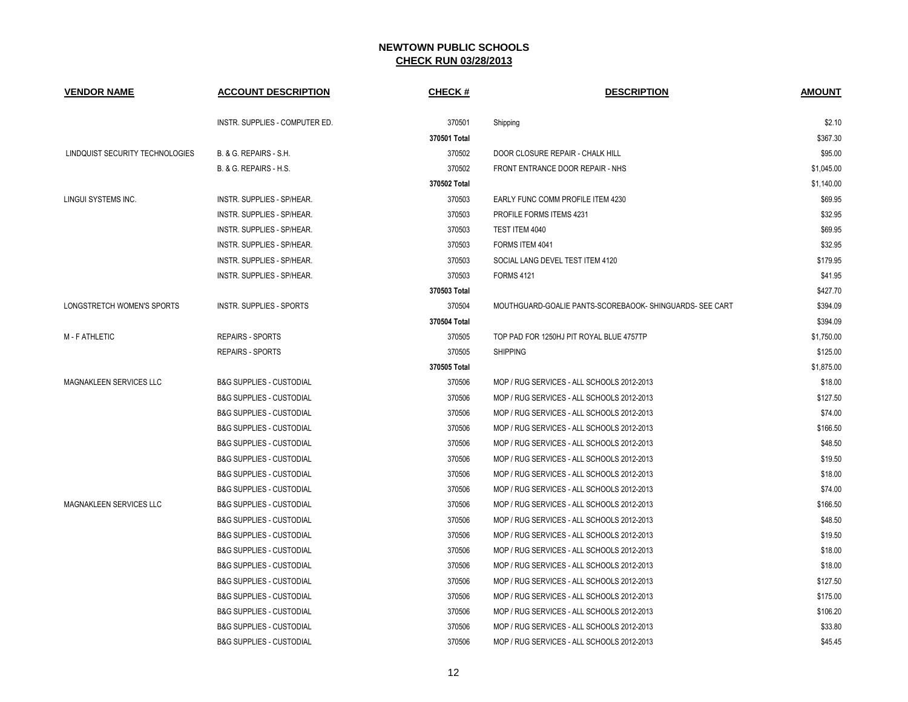| <b>VENDOR NAME</b>              | <b>ACCOUNT DESCRIPTION</b>          | <b>CHECK#</b> | <b>DESCRIPTION</b>                                       | <b>AMOUNT</b> |
|---------------------------------|-------------------------------------|---------------|----------------------------------------------------------|---------------|
|                                 | INSTR. SUPPLIES - COMPUTER ED.      | 370501        | Shipping                                                 | \$2.10        |
|                                 |                                     | 370501 Total  |                                                          | \$367.30      |
| LINDQUIST SECURITY TECHNOLOGIES | <b>B. &amp; G. REPAIRS - S.H.</b>   | 370502        | DOOR CLOSURE REPAIR - CHALK HILL                         | \$95.00       |
|                                 | <b>B. &amp; G. REPAIRS - H.S.</b>   | 370502        | FRONT ENTRANCE DOOR REPAIR - NHS                         | \$1,045.00    |
|                                 |                                     | 370502 Total  |                                                          | \$1,140.00    |
| LINGUI SYSTEMS INC.             | INSTR. SUPPLIES - SP/HEAR.          | 370503        | EARLY FUNC COMM PROFILE ITEM 4230                        | \$69.95       |
|                                 | INSTR. SUPPLIES - SP/HEAR.          | 370503        | PROFILE FORMS ITEMS 4231                                 | \$32.95       |
|                                 | INSTR. SUPPLIES - SP/HEAR.          | 370503        | TEST ITEM 4040                                           | \$69.95       |
|                                 | INSTR. SUPPLIES - SP/HEAR.          | 370503        | FORMS ITEM 4041                                          | \$32.95       |
|                                 | INSTR. SUPPLIES - SP/HEAR.          | 370503        | SOCIAL LANG DEVEL TEST ITEM 4120                         | \$179.95      |
|                                 | INSTR. SUPPLIES - SP/HEAR.          | 370503        | <b>FORMS 4121</b>                                        | \$41.95       |
|                                 |                                     | 370503 Total  |                                                          | \$427.70      |
| LONGSTRETCH WOMEN'S SPORTS      | <b>INSTR. SUPPLIES - SPORTS</b>     | 370504        | MOUTHGUARD-GOALIE PANTS-SCOREBAOOK- SHINGUARDS- SEE CART | \$394.09      |
|                                 |                                     | 370504 Total  |                                                          | \$394.09      |
| <b>M-FATHLETIC</b>              | <b>REPAIRS - SPORTS</b>             | 370505        | TOP PAD FOR 1250HJ PIT ROYAL BLUE 4757TP                 | \$1,750.00    |
|                                 | <b>REPAIRS - SPORTS</b>             | 370505        | <b>SHIPPING</b>                                          | \$125.00      |
|                                 |                                     | 370505 Total  |                                                          | \$1,875.00    |
| <b>MAGNAKLEEN SERVICES LLC</b>  | <b>B&amp;G SUPPLIES - CUSTODIAL</b> | 370506        | MOP / RUG SERVICES - ALL SCHOOLS 2012-2013               | \$18.00       |
|                                 | <b>B&amp;G SUPPLIES - CUSTODIAL</b> | 370506        | MOP / RUG SERVICES - ALL SCHOOLS 2012-2013               | \$127.50      |
|                                 | <b>B&amp;G SUPPLIES - CUSTODIAL</b> | 370506        | MOP / RUG SERVICES - ALL SCHOOLS 2012-2013               | \$74.00       |
|                                 | <b>B&amp;G SUPPLIES - CUSTODIAL</b> | 370506        | MOP / RUG SERVICES - ALL SCHOOLS 2012-2013               | \$166.50      |
|                                 | <b>B&amp;G SUPPLIES - CUSTODIAL</b> | 370506        | MOP / RUG SERVICES - ALL SCHOOLS 2012-2013               | \$48.50       |
|                                 | <b>B&amp;G SUPPLIES - CUSTODIAL</b> | 370506        | MOP / RUG SERVICES - ALL SCHOOLS 2012-2013               | \$19.50       |
|                                 | <b>B&amp;G SUPPLIES - CUSTODIAL</b> | 370506        | MOP / RUG SERVICES - ALL SCHOOLS 2012-2013               | \$18.00       |
|                                 | <b>B&amp;G SUPPLIES - CUSTODIAL</b> | 370506        | MOP / RUG SERVICES - ALL SCHOOLS 2012-2013               | \$74.00       |
| <b>MAGNAKLEEN SERVICES LLC</b>  | <b>B&amp;G SUPPLIES - CUSTODIAL</b> | 370506        | MOP / RUG SERVICES - ALL SCHOOLS 2012-2013               | \$166.50      |
|                                 | <b>B&amp;G SUPPLIES - CUSTODIAL</b> | 370506        | MOP / RUG SERVICES - ALL SCHOOLS 2012-2013               | \$48.50       |
|                                 | <b>B&amp;G SUPPLIES - CUSTODIAL</b> | 370506        | MOP / RUG SERVICES - ALL SCHOOLS 2012-2013               | \$19.50       |
|                                 | <b>B&amp;G SUPPLIES - CUSTODIAL</b> | 370506        | MOP / RUG SERVICES - ALL SCHOOLS 2012-2013               | \$18.00       |
|                                 | <b>B&amp;G SUPPLIES - CUSTODIAL</b> | 370506        | MOP / RUG SERVICES - ALL SCHOOLS 2012-2013               | \$18.00       |
|                                 | <b>B&amp;G SUPPLIES - CUSTODIAL</b> | 370506        | MOP / RUG SERVICES - ALL SCHOOLS 2012-2013               | \$127.50      |
|                                 | <b>B&amp;G SUPPLIES - CUSTODIAL</b> | 370506        | MOP / RUG SERVICES - ALL SCHOOLS 2012-2013               | \$175.00      |
|                                 | <b>B&amp;G SUPPLIES - CUSTODIAL</b> | 370506        | MOP / RUG SERVICES - ALL SCHOOLS 2012-2013               | \$106.20      |
|                                 | <b>B&amp;G SUPPLIES - CUSTODIAL</b> | 370506        | MOP / RUG SERVICES - ALL SCHOOLS 2012-2013               | \$33.80       |
|                                 | <b>B&amp;G SUPPLIES - CUSTODIAL</b> | 370506        | MOP / RUG SERVICES - ALL SCHOOLS 2012-2013               | \$45.45       |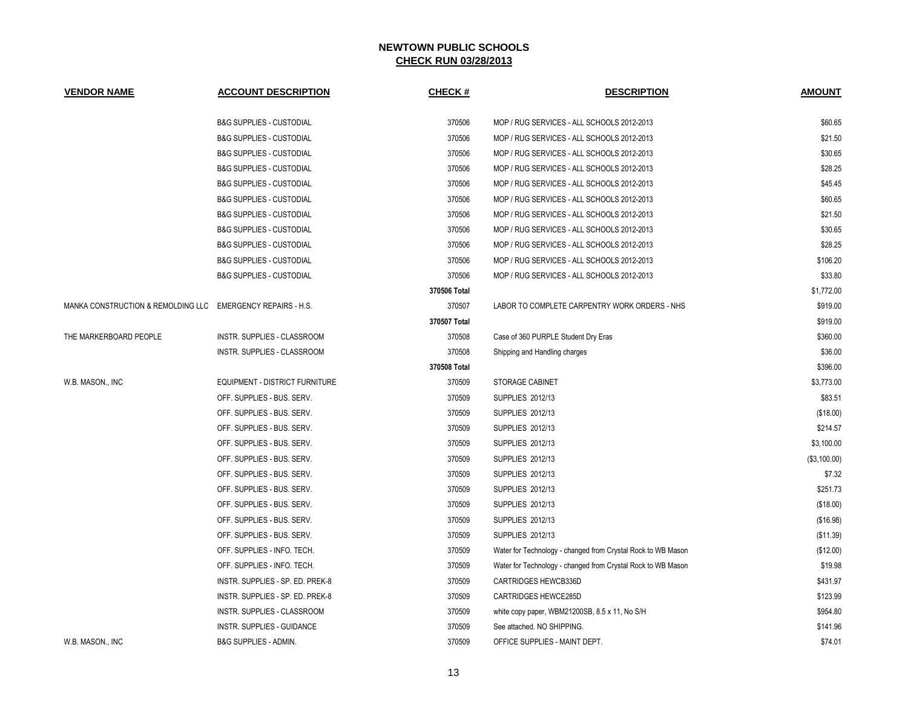| <b>VENDOR NAME</b>                                          | <b>ACCOUNT DESCRIPTION</b>            | <b>CHECK#</b> | <b>DESCRIPTION</b>                                           | <b>AMOUNT</b> |
|-------------------------------------------------------------|---------------------------------------|---------------|--------------------------------------------------------------|---------------|
|                                                             | <b>B&amp;G SUPPLIES - CUSTODIAL</b>   | 370506        | MOP / RUG SERVICES - ALL SCHOOLS 2012-2013                   | \$60.65       |
|                                                             | <b>B&amp;G SUPPLIES - CUSTODIAL</b>   | 370506        | MOP / RUG SERVICES - ALL SCHOOLS 2012-2013                   | \$21.50       |
|                                                             | <b>B&amp;G SUPPLIES - CUSTODIAL</b>   | 370506        | MOP / RUG SERVICES - ALL SCHOOLS 2012-2013                   | \$30.65       |
|                                                             | <b>B&amp;G SUPPLIES - CUSTODIAL</b>   | 370506        | MOP / RUG SERVICES - ALL SCHOOLS 2012-2013                   | \$28.25       |
|                                                             | <b>B&amp;G SUPPLIES - CUSTODIAL</b>   | 370506        | MOP / RUG SERVICES - ALL SCHOOLS 2012-2013                   | \$45.45       |
|                                                             | <b>B&amp;G SUPPLIES - CUSTODIAL</b>   | 370506        | MOP / RUG SERVICES - ALL SCHOOLS 2012-2013                   | \$60.65       |
|                                                             | <b>B&amp;G SUPPLIES - CUSTODIAL</b>   | 370506        | MOP / RUG SERVICES - ALL SCHOOLS 2012-2013                   | \$21.50       |
|                                                             | <b>B&amp;G SUPPLIES - CUSTODIAL</b>   | 370506        | MOP / RUG SERVICES - ALL SCHOOLS 2012-2013                   | \$30.65       |
|                                                             | <b>B&amp;G SUPPLIES - CUSTODIAL</b>   | 370506        | MOP / RUG SERVICES - ALL SCHOOLS 2012-2013                   | \$28.25       |
|                                                             | <b>B&amp;G SUPPLIES - CUSTODIAL</b>   | 370506        | MOP / RUG SERVICES - ALL SCHOOLS 2012-2013                   | \$106.20      |
|                                                             | <b>B&amp;G SUPPLIES - CUSTODIAL</b>   | 370506        | MOP / RUG SERVICES - ALL SCHOOLS 2012-2013                   | \$33.80       |
|                                                             |                                       | 370506 Total  |                                                              | \$1,772.00    |
| MANKA CONSTRUCTION & REMOLDING LLC EMERGENCY REPAIRS - H.S. |                                       | 370507        | LABOR TO COMPLETE CARPENTRY WORK ORDERS - NHS                | \$919.00      |
|                                                             |                                       | 370507 Total  |                                                              | \$919.00      |
| THE MARKERBOARD PEOPLE                                      | INSTR. SUPPLIES - CLASSROOM           | 370508        | Case of 360 PURPLE Student Dry Eras                          | \$360.00      |
|                                                             | INSTR. SUPPLIES - CLASSROOM           | 370508        | Shipping and Handling charges                                | \$36.00       |
|                                                             |                                       | 370508 Total  |                                                              | \$396.00      |
| W.B. MASON., INC                                            | <b>EQUIPMENT - DISTRICT FURNITURE</b> | 370509        | <b>STORAGE CABINET</b>                                       | \$3,773.00    |
|                                                             | OFF. SUPPLIES - BUS. SERV.            | 370509        | <b>SUPPLIES 2012/13</b>                                      | \$83.51       |
|                                                             | OFF. SUPPLIES - BUS. SERV.            | 370509        | <b>SUPPLIES 2012/13</b>                                      | (\$18.00)     |
|                                                             | OFF. SUPPLIES - BUS. SERV.            | 370509        | SUPPLIES 2012/13                                             | \$214.57      |
|                                                             | OFF. SUPPLIES - BUS. SERV.            | 370509        | SUPPLIES 2012/13                                             | \$3,100.00    |
|                                                             | OFF. SUPPLIES - BUS. SERV.            | 370509        | SUPPLIES 2012/13                                             | (\$3,100.00)  |
|                                                             | OFF. SUPPLIES - BUS. SERV.            | 370509        | SUPPLIES 2012/13                                             | \$7.32        |
|                                                             | OFF. SUPPLIES - BUS. SERV.            | 370509        | SUPPLIES 2012/13                                             | \$251.73      |
|                                                             | OFF. SUPPLIES - BUS. SERV.            | 370509        | SUPPLIES 2012/13                                             | (\$18.00)     |
|                                                             | OFF. SUPPLIES - BUS. SERV.            | 370509        | SUPPLIES 2012/13                                             | (\$16.98)     |
|                                                             | OFF. SUPPLIES - BUS. SERV.            | 370509        | <b>SUPPLIES 2012/13</b>                                      | (\$11.39)     |
|                                                             | OFF. SUPPLIES - INFO. TECH.           | 370509        | Water for Technology - changed from Crystal Rock to WB Mason | (\$12.00)     |
|                                                             | OFF. SUPPLIES - INFO. TECH.           | 370509        | Water for Technology - changed from Crystal Rock to WB Mason | \$19.98       |
|                                                             | INSTR. SUPPLIES - SP. ED. PREK-8      | 370509        | <b>CARTRIDGES HEWCB336D</b>                                  | \$431.97      |
|                                                             | INSTR. SUPPLIES - SP. ED. PREK-8      | 370509        | <b>CARTRIDGES HEWCE285D</b>                                  | \$123.99      |
|                                                             | INSTR. SUPPLIES - CLASSROOM           | 370509        | white copy paper, WBM21200SB, 8.5 x 11, No S/H               | \$954.80      |
|                                                             | <b>INSTR. SUPPLIES - GUIDANCE</b>     | 370509        | See attached. NO SHIPPING.                                   | \$141.96      |
| W.B. MASON., INC                                            | <b>B&amp;G SUPPLIES - ADMIN.</b>      | 370509        | OFFICE SUPPLIES - MAINT DEPT.                                | \$74.01       |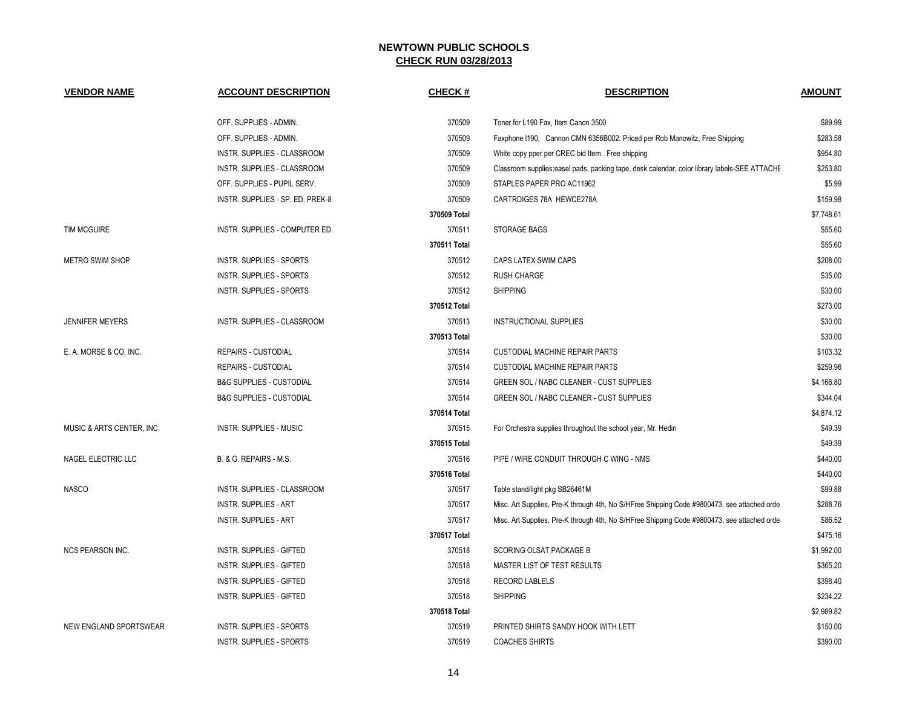| <b>VENDOR NAME</b>        | <b>ACCOUNT DESCRIPTION</b>          | <b>CHECK#</b> | <b>DESCRIPTION</b>                                                                            | <b>AMOUNT</b> |
|---------------------------|-------------------------------------|---------------|-----------------------------------------------------------------------------------------------|---------------|
|                           | OFF. SUPPLIES - ADMIN.              | 370509        | Toner for L190 Fax, Item Canon 3500                                                           | \$89.99       |
|                           | OFF. SUPPLIES - ADMIN.              | 370509        | Faxphone I190, Cannon CMN 6356B002. Priced per Rob Manowitz, Free Shipping                    | \$283.58      |
|                           | INSTR. SUPPLIES - CLASSROOM         | 370509        | White copy pper per CREC bid Item. Free shipping                                              | \$954.80      |
|                           | INSTR. SUPPLIES - CLASSROOM         | 370509        | Classroom supplies: easel pads, packing tape, desk calendar, color library labels-SEE ATTACHE | \$253.80      |
|                           | OFF. SUPPLIES - PUPIL SERV.         | 370509        | STAPLES PAPER PRO AC11962                                                                     | \$5.99        |
|                           | INSTR. SUPPLIES - SP. ED. PREK-8    | 370509        | CARTRDIGES 78A HEWCE278A                                                                      | \$159.98      |
|                           |                                     | 370509 Total  |                                                                                               | \$7,748.61    |
| <b>TIM MCGUIRE</b>        | INSTR. SUPPLIES - COMPUTER ED.      | 370511        | STORAGE BAGS                                                                                  | \$55.60       |
|                           |                                     | 370511 Total  |                                                                                               | \$55.60       |
| <b>METRO SWIM SHOP</b>    | INSTR. SUPPLIES - SPORTS            | 370512        | CAPS LATEX SWIM CAPS                                                                          | \$208.00      |
|                           | INSTR. SUPPLIES - SPORTS            | 370512        | <b>RUSH CHARGE</b>                                                                            | \$35.00       |
|                           | INSTR. SUPPLIES - SPORTS            | 370512        | <b>SHIPPING</b>                                                                               | \$30.00       |
|                           |                                     | 370512 Total  |                                                                                               | \$273.00      |
| <b>JENNIFER MEYERS</b>    | INSTR. SUPPLIES - CLASSROOM         | 370513        | INSTRUCTIONAL SUPPLIES                                                                        | \$30.00       |
|                           |                                     | 370513 Total  |                                                                                               | \$30.00       |
| E. A. MORSE & CO. INC.    | REPAIRS - CUSTODIAL                 | 370514        | <b>CUSTODIAL MACHINE REPAIR PARTS</b>                                                         | \$103.32      |
|                           | REPAIRS - CUSTODIAL                 | 370514        | <b>CUSTODIAL MACHINE REPAIR PARTS</b>                                                         | \$259.96      |
|                           | <b>B&amp;G SUPPLIES - CUSTODIAL</b> | 370514        | GREEN SOL / NABC CLEANER - CUST SUPPLIES                                                      | \$4,166.80    |
|                           | <b>B&amp;G SUPPLIES - CUSTODIAL</b> | 370514        | GREEN SOL / NABC CLEANER - CUST SUPPLIES                                                      | \$344.04      |
|                           |                                     | 370514 Total  |                                                                                               | \$4,874.12    |
| MUSIC & ARTS CENTER, INC. | <b>INSTR. SUPPLIES - MUSIC</b>      | 370515        | For Orchestra supplies throughout the school year, Mr. Hedin                                  | \$49.39       |
|                           |                                     | 370515 Total  |                                                                                               | \$49.39       |
| NAGEL ELECTRIC LLC        | B. & G. REPAIRS - M.S.              | 370516        | PIPE / WIRE CONDUIT THROUGH C WING - NMS                                                      | \$440.00      |
|                           |                                     | 370516 Total  |                                                                                               | \$440.00      |
| <b>NASCO</b>              | INSTR. SUPPLIES - CLASSROOM         | 370517        | Table stand/light pkg SB26461M                                                                | \$99.88       |
|                           | <b>INSTR. SUPPLIES - ART</b>        | 370517        | Misc. Art Supplies, Pre-K through 4th, No S/HFree Shipping Code #9800473, see attached orde   | \$288.76      |
|                           | <b>INSTR. SUPPLIES - ART</b>        | 370517        | Misc. Art Supplies, Pre-K through 4th, No S/HFree Shipping Code #9800473, see attached orde   | \$86.52       |
|                           |                                     | 370517 Total  |                                                                                               | \$475.16      |
| <b>NCS PEARSON INC.</b>   | <b>INSTR. SUPPLIES - GIFTED</b>     | 370518        | SCORING OLSAT PACKAGE B                                                                       | \$1,992.00    |
|                           | <b>INSTR. SUPPLIES - GIFTED</b>     | 370518        | MASTER LIST OF TEST RESULTS                                                                   | \$365.20      |
|                           | <b>INSTR. SUPPLIES - GIFTED</b>     | 370518        | <b>RECORD LABLELS</b>                                                                         | \$398.40      |
|                           | <b>INSTR. SUPPLIES - GIFTED</b>     | 370518        | <b>SHIPPING</b>                                                                               | \$234.22      |
|                           |                                     | 370518 Total  |                                                                                               | \$2,989.82    |
| NEW ENGLAND SPORTSWEAR    | INSTR. SUPPLIES - SPORTS            | 370519        | PRINTED SHIRTS SANDY HOOK WITH LETT                                                           | \$150.00      |
|                           | <b>INSTR. SUPPLIES - SPORTS</b>     | 370519        | <b>COACHES SHIRTS</b>                                                                         | \$390.00      |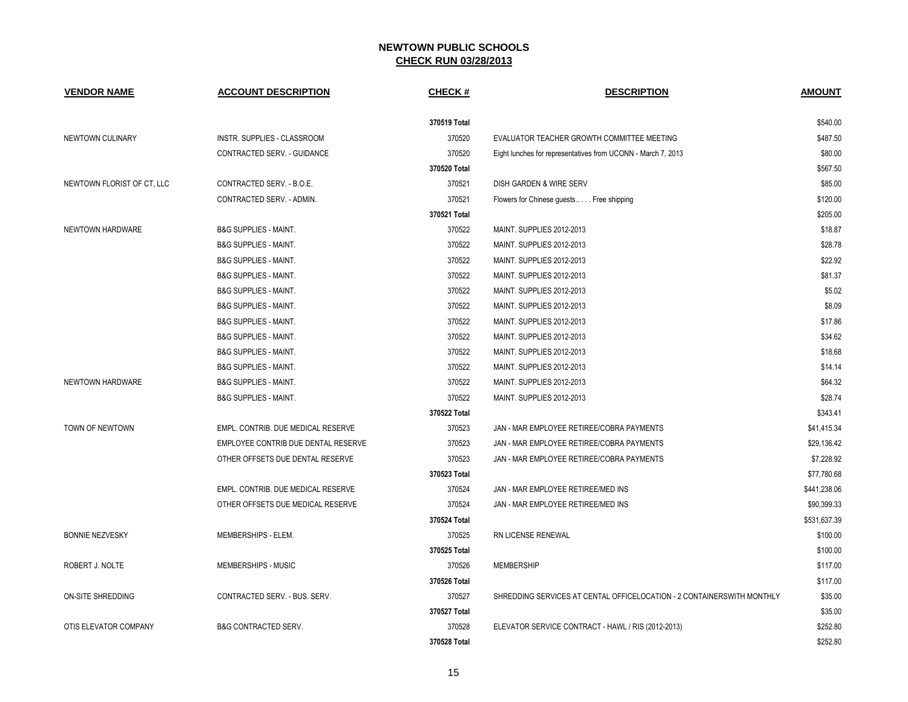| <b>VENDOR NAME</b>         | <b>ACCOUNT DESCRIPTION</b>          | CHECK #      | <b>DESCRIPTION</b>                                                     | <b>AMOUNT</b> |
|----------------------------|-------------------------------------|--------------|------------------------------------------------------------------------|---------------|
|                            |                                     | 370519 Total |                                                                        | \$540.00      |
| NEWTOWN CULINARY           | INSTR. SUPPLIES - CLASSROOM         | 370520       | EVALUATOR TEACHER GROWTH COMMITTEE MEETING                             | \$487.50      |
|                            | CONTRACTED SERV. - GUIDANCE         | 370520       | Eight lunches for representatives from UCONN - March 7, 2013           | \$80.00       |
|                            |                                     | 370520 Total |                                                                        | \$567.50      |
| NEWTOWN FLORIST OF CT, LLC | CONTRACTED SERV. - B.O.E.           | 370521       | DISH GARDEN & WIRE SERV                                                | \$85.00       |
|                            | CONTRACTED SERV. - ADMIN.           | 370521       | Flowers for Chinese guests Free shipping                               | \$120.00      |
|                            |                                     | 370521 Total |                                                                        | \$205.00      |
| NEWTOWN HARDWARE           | <b>B&amp;G SUPPLIES - MAINT.</b>    | 370522       | MAINT. SUPPLIES 2012-2013                                              | \$18.87       |
|                            | <b>B&amp;G SUPPLIES - MAINT.</b>    | 370522       | MAINT. SUPPLIES 2012-2013                                              | \$28.78       |
|                            | <b>B&amp;G SUPPLIES - MAINT.</b>    | 370522       | MAINT. SUPPLIES 2012-2013                                              | \$22.92       |
|                            | <b>B&amp;G SUPPLIES - MAINT.</b>    | 370522       | MAINT. SUPPLIES 2012-2013                                              | \$81.37       |
|                            | <b>B&amp;G SUPPLIES - MAINT.</b>    | 370522       | MAINT. SUPPLIES 2012-2013                                              | \$5.02        |
|                            | B&G SUPPLIES - MAINT.               | 370522       | <b>MAINT. SUPPLIES 2012-2013</b>                                       | \$8.09        |
|                            | <b>B&amp;G SUPPLIES - MAINT.</b>    | 370522       | MAINT. SUPPLIES 2012-2013                                              | \$17.86       |
|                            | <b>B&amp;G SUPPLIES - MAINT.</b>    | 370522       | MAINT. SUPPLIES 2012-2013                                              | \$34.62       |
|                            | <b>B&amp;G SUPPLIES - MAINT.</b>    | 370522       | MAINT. SUPPLIES 2012-2013                                              | \$18.68       |
|                            | <b>B&amp;G SUPPLIES - MAINT.</b>    | 370522       | MAINT. SUPPLIES 2012-2013                                              | \$14.14       |
| NEWTOWN HARDWARE           | <b>B&amp;G SUPPLIES - MAINT.</b>    | 370522       | MAINT. SUPPLIES 2012-2013                                              | \$64.32       |
|                            | <b>B&amp;G SUPPLIES - MAINT.</b>    | 370522       | MAINT. SUPPLIES 2012-2013                                              | \$28.74       |
|                            |                                     | 370522 Total |                                                                        | \$343.41      |
| TOWN OF NEWTOWN            | EMPL. CONTRIB. DUE MEDICAL RESERVE  | 370523       | JAN - MAR EMPLOYEE RETIREE/COBRA PAYMENTS                              | \$41,415.34   |
|                            | EMPLOYEE CONTRIB DUE DENTAL RESERVE | 370523       | JAN - MAR EMPLOYEE RETIREE/COBRA PAYMENTS                              | \$29,136.42   |
|                            | OTHER OFFSETS DUE DENTAL RESERVE    | 370523       | JAN - MAR EMPLOYEE RETIREE/COBRA PAYMENTS                              | \$7,228.92    |
|                            |                                     | 370523 Total |                                                                        | \$77,780.68   |
|                            | EMPL. CONTRIB. DUE MEDICAL RESERVE  | 370524       | JAN - MAR EMPLOYEE RETIREE/MED INS                                     | \$441,238.06  |
|                            | OTHER OFFSETS DUE MEDICAL RESERVE   | 370524       | JAN - MAR EMPLOYEE RETIREE/MED INS                                     | \$90,399.33   |
|                            |                                     | 370524 Total |                                                                        | \$531,637.39  |
| <b>BONNIE NEZVESKY</b>     | MEMBERSHIPS - ELEM.                 | 370525       | RN LICENSE RENEWAL                                                     | \$100.00      |
|                            |                                     | 370525 Total |                                                                        | \$100.00      |
| ROBERT J. NOLTE            | MEMBERSHIPS - MUSIC                 | 370526       | <b>MEMBERSHIP</b>                                                      | \$117.00      |
|                            |                                     | 370526 Total |                                                                        | \$117.00      |
| ON-SITE SHREDDING          | CONTRACTED SERV. - BUS. SERV.       | 370527       | SHREDDING SERVICES AT CENTAL OFFICELOCATION - 2 CONTAINERSWITH MONTHLY | \$35.00       |
|                            |                                     | 370527 Total |                                                                        | \$35.00       |
| OTIS ELEVATOR COMPANY      | B&G CONTRACTED SERV.                | 370528       | ELEVATOR SERVICE CONTRACT - HAWL / RIS (2012-2013)                     | \$252.80      |
|                            |                                     | 370528 Total |                                                                        | \$252.80      |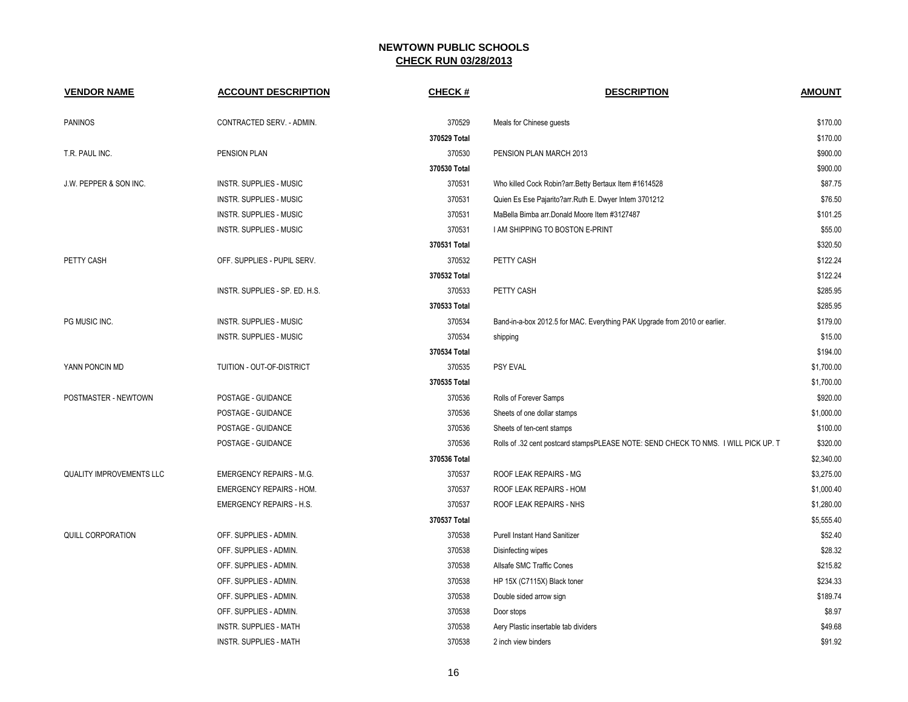| <b>VENDOR NAME</b>              | <b>ACCOUNT DESCRIPTION</b>      | CHECK #      | <b>DESCRIPTION</b>                                                                 | <b>AMOUNT</b> |
|---------------------------------|---------------------------------|--------------|------------------------------------------------------------------------------------|---------------|
| <b>PANINOS</b>                  | CONTRACTED SERV. - ADMIN.       | 370529       | Meals for Chinese guests                                                           | \$170.00      |
|                                 |                                 | 370529 Total |                                                                                    | \$170.00      |
| T.R. PAUL INC.                  | PENSION PLAN                    | 370530       | PENSION PLAN MARCH 2013                                                            | \$900.00      |
|                                 |                                 | 370530 Total |                                                                                    | \$900.00      |
| J.W. PEPPER & SON INC.          | <b>INSTR. SUPPLIES - MUSIC</b>  | 370531       | Who killed Cock Robin?arr.Betty Bertaux Item #1614528                              | \$87.75       |
|                                 | INSTR. SUPPLIES - MUSIC         | 370531       | Quien Es Ese Pajarito?arr.Ruth E. Dwyer Intem 3701212                              | \$76.50       |
|                                 | INSTR. SUPPLIES - MUSIC         | 370531       | MaBella Bimba arr. Donald Moore Item #3127487                                      | \$101.25      |
|                                 | <b>INSTR. SUPPLIES - MUSIC</b>  | 370531       | I AM SHIPPING TO BOSTON E-PRINT                                                    | \$55.00       |
|                                 |                                 | 370531 Total |                                                                                    | \$320.50      |
| PETTY CASH                      | OFF. SUPPLIES - PUPIL SERV.     | 370532       | PETTY CASH                                                                         | \$122.24      |
|                                 |                                 | 370532 Total |                                                                                    | \$122.24      |
|                                 | INSTR. SUPPLIES - SP. ED. H.S.  | 370533       | PETTY CASH                                                                         | \$285.95      |
|                                 |                                 | 370533 Total |                                                                                    | \$285.95      |
| PG MUSIC INC.                   | INSTR. SUPPLIES - MUSIC         | 370534       | Band-in-a-box 2012.5 for MAC. Everything PAK Upgrade from 2010 or earlier.         | \$179.00      |
|                                 | INSTR. SUPPLIES - MUSIC         | 370534       | shipping                                                                           | \$15.00       |
|                                 |                                 | 370534 Total |                                                                                    | \$194.00      |
| YANN PONCIN MD                  | TUITION - OUT-OF-DISTRICT       | 370535       | <b>PSY EVAL</b>                                                                    | \$1,700.00    |
|                                 |                                 | 370535 Total |                                                                                    | \$1,700.00    |
| POSTMASTER - NEWTOWN            | POSTAGE - GUIDANCE              | 370536       | Rolls of Forever Samps                                                             | \$920.00      |
|                                 | POSTAGE - GUIDANCE              | 370536       | Sheets of one dollar stamps                                                        | \$1,000.00    |
|                                 | POSTAGE - GUIDANCE              | 370536       | Sheets of ten-cent stamps                                                          | \$100.00      |
|                                 | POSTAGE - GUIDANCE              | 370536       | Rolls of .32 cent postcard stampsPLEASE NOTE: SEND CHECK TO NMS. I WILL PICK UP. T | \$320.00      |
|                                 |                                 | 370536 Total |                                                                                    | \$2,340.00    |
| <b>QUALITY IMPROVEMENTS LLC</b> | <b>EMERGENCY REPAIRS - M.G.</b> | 370537       | ROOF LEAK REPAIRS - MG                                                             | \$3,275.00    |
|                                 | <b>EMERGENCY REPAIRS - HOM.</b> | 370537       | ROOF LEAK REPAIRS - HOM                                                            | \$1,000.40    |
|                                 | <b>EMERGENCY REPAIRS - H.S.</b> | 370537       | ROOF LEAK REPAIRS - NHS                                                            | \$1,280.00    |
|                                 |                                 | 370537 Total |                                                                                    | \$5,555.40    |
| QUILL CORPORATION               | OFF. SUPPLIES - ADMIN.          | 370538       | <b>Purell Instant Hand Sanitizer</b>                                               | \$52.40       |
|                                 | OFF. SUPPLIES - ADMIN.          | 370538       | Disinfecting wipes                                                                 | \$28.32       |
|                                 | OFF. SUPPLIES - ADMIN.          | 370538       | Allsafe SMC Traffic Cones                                                          | \$215.82      |
|                                 | OFF. SUPPLIES - ADMIN.          | 370538       | HP 15X (C7115X) Black toner                                                        | \$234.33      |
|                                 | OFF. SUPPLIES - ADMIN.          | 370538       | Double sided arrow sign                                                            | \$189.74      |
|                                 | OFF. SUPPLIES - ADMIN.          | 370538       | Door stops                                                                         | \$8.97        |
|                                 | <b>INSTR. SUPPLIES - MATH</b>   | 370538       | Aery Plastic insertable tab dividers                                               | \$49.68       |
|                                 | INSTR. SUPPLIES - MATH          | 370538       | 2 inch view binders                                                                | \$91.92       |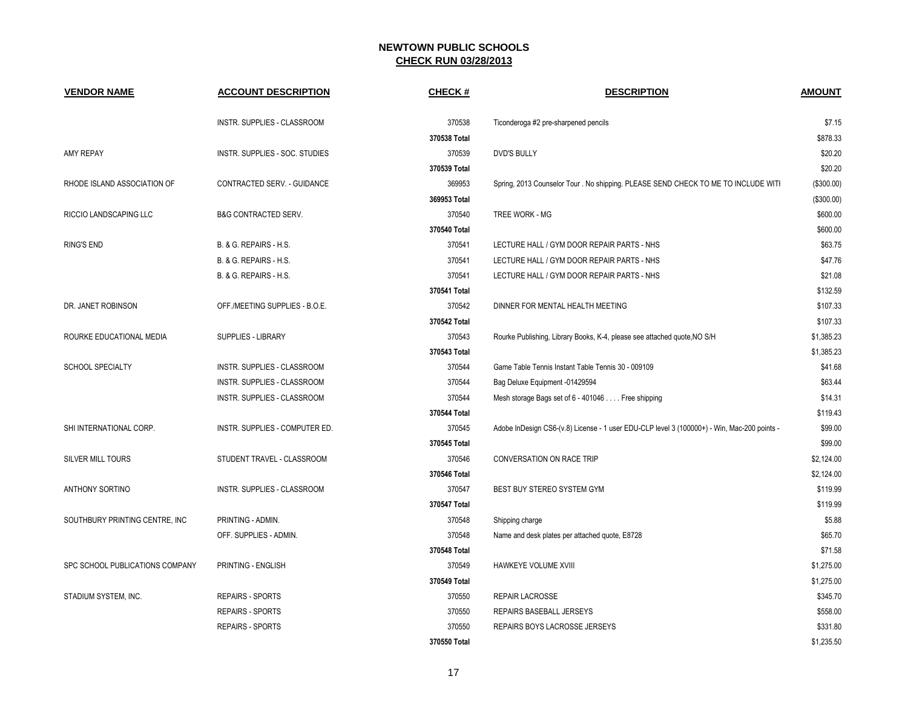| <b>VENDOR NAME</b>              | <b>ACCOUNT DESCRIPTION</b>        | <b>CHECK#</b> | <b>DESCRIPTION</b>                                                                          | <b>AMOUNT</b> |
|---------------------------------|-----------------------------------|---------------|---------------------------------------------------------------------------------------------|---------------|
|                                 | INSTR. SUPPLIES - CLASSROOM       | 370538        | Ticonderoga #2 pre-sharpened pencils                                                        | \$7.15        |
|                                 |                                   | 370538 Total  |                                                                                             | \$878.33      |
| <b>AMY REPAY</b>                | INSTR. SUPPLIES - SOC. STUDIES    | 370539        | <b>DVD'S BULLY</b>                                                                          | \$20.20       |
|                                 |                                   | 370539 Total  |                                                                                             | \$20.20       |
| RHODE ISLAND ASSOCIATION OF     | CONTRACTED SERV. - GUIDANCE       | 369953        | Spring, 2013 Counselor Tour . No shipping. PLEASE SEND CHECK TO ME TO INCLUDE WITH          | (\$300.00)    |
|                                 |                                   | 369953 Total  |                                                                                             | (\$300.00)    |
| RICCIO LANDSCAPING LLC          | B&G CONTRACTED SERV.              | 370540        | TREE WORK - MG                                                                              | \$600.00      |
|                                 |                                   | 370540 Total  |                                                                                             | \$600.00      |
| <b>RING'S END</b>               | B. & G. REPAIRS - H.S.            | 370541        | LECTURE HALL / GYM DOOR REPAIR PARTS - NHS                                                  | \$63.75       |
|                                 | <b>B. &amp; G. REPAIRS - H.S.</b> | 370541        | LECTURE HALL / GYM DOOR REPAIR PARTS - NHS                                                  | \$47.76       |
|                                 | B. & G. REPAIRS - H.S.            | 370541        | LECTURE HALL / GYM DOOR REPAIR PARTS - NHS                                                  | \$21.08       |
|                                 |                                   | 370541 Total  |                                                                                             | \$132.59      |
| DR. JANET ROBINSON              | OFF./MEETING SUPPLIES - B.O.E.    | 370542        | DINNER FOR MENTAL HEALTH MEETING                                                            | \$107.33      |
|                                 |                                   | 370542 Total  |                                                                                             | \$107.33      |
| ROURKE EDUCATIONAL MEDIA        | <b>SUPPLIES - LIBRARY</b>         | 370543        | Rourke Publishing, Library Books, K-4, please see attached quote, NO S/H                    | \$1,385.23    |
|                                 |                                   | 370543 Total  |                                                                                             | \$1,385.23    |
| <b>SCHOOL SPECIALTY</b>         | INSTR. SUPPLIES - CLASSROOM       | 370544        | Game Table Tennis Instant Table Tennis 30 - 009109                                          | \$41.68       |
|                                 | INSTR. SUPPLIES - CLASSROOM       | 370544        | Bag Deluxe Equipment -01429594                                                              | \$63.44       |
|                                 | INSTR. SUPPLIES - CLASSROOM       | 370544        | Mesh storage Bags set of 6 - 401046 Free shipping                                           | \$14.31       |
|                                 |                                   | 370544 Total  |                                                                                             | \$119.43      |
| SHI INTERNATIONAL CORP.         | INSTR. SUPPLIES - COMPUTER ED.    | 370545        | Adobe InDesign CS6-(v.8) License - 1 user EDU-CLP level 3 (100000+) - Win, Mac-200 points - | \$99.00       |
|                                 |                                   | 370545 Total  |                                                                                             | \$99.00       |
| <b>SILVER MILL TOURS</b>        | STUDENT TRAVEL - CLASSROOM        | 370546        | CONVERSATION ON RACE TRIP                                                                   | \$2,124.00    |
|                                 |                                   | 370546 Total  |                                                                                             | \$2,124.00    |
| <b>ANTHONY SORTINO</b>          | INSTR. SUPPLIES - CLASSROOM       | 370547        | BEST BUY STEREO SYSTEM GYM                                                                  | \$119.99      |
|                                 |                                   | 370547 Total  |                                                                                             | \$119.99      |
| SOUTHBURY PRINTING CENTRE, INC  | PRINTING - ADMIN.                 | 370548        | Shipping charge                                                                             | \$5.88        |
|                                 | OFF. SUPPLIES - ADMIN.            | 370548        | Name and desk plates per attached quote, E8728                                              | \$65.70       |
|                                 |                                   | 370548 Total  |                                                                                             | \$71.58       |
| SPC SCHOOL PUBLICATIONS COMPANY | PRINTING - ENGLISH                | 370549        | HAWKEYE VOLUME XVIII                                                                        | \$1,275.00    |
|                                 |                                   | 370549 Total  |                                                                                             | \$1,275.00    |
| STADIUM SYSTEM, INC.            | REPAIRS - SPORTS                  | 370550        | REPAIR LACROSSE                                                                             | \$345.70      |
|                                 | REPAIRS - SPORTS                  | 370550        | REPAIRS BASEBALL JERSEYS                                                                    | \$558.00      |
|                                 | <b>REPAIRS - SPORTS</b>           | 370550        | REPAIRS BOYS LACROSSE JERSEYS                                                               | \$331.80      |
|                                 |                                   | 370550 Total  |                                                                                             | \$1,235.50    |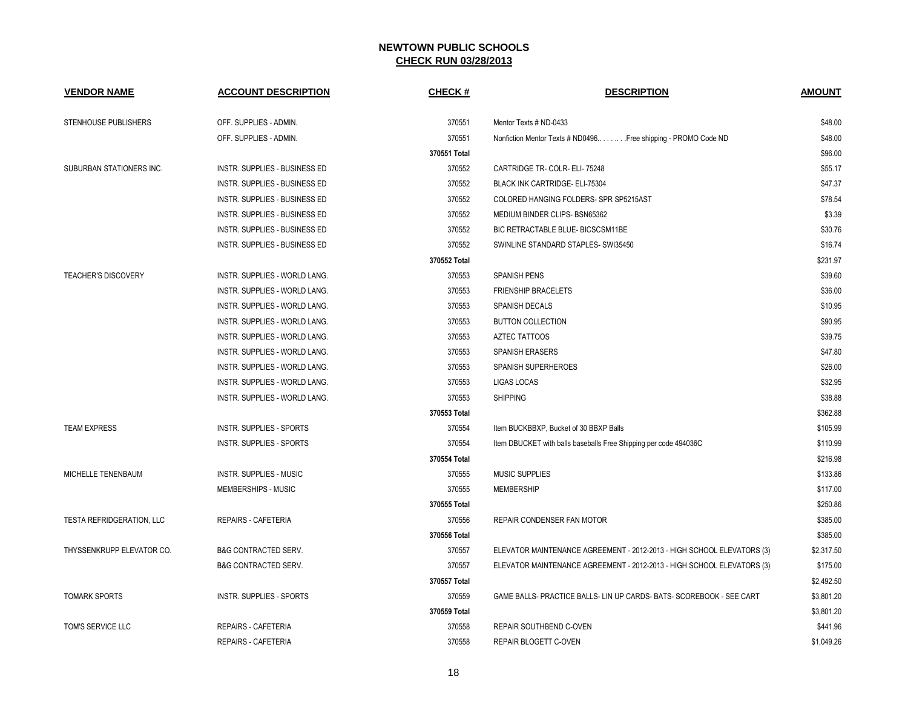| <b>VENDOR NAME</b>               | <b>ACCOUNT DESCRIPTION</b>      | <b>CHECK#</b> | <b>DESCRIPTION</b>                                                     | <b>AMOUNT</b> |
|----------------------------------|---------------------------------|---------------|------------------------------------------------------------------------|---------------|
| STENHOUSE PUBLISHERS             | OFF. SUPPLIES - ADMIN.          | 370551        | Mentor Texts # ND-0433                                                 | \$48.00       |
|                                  | OFF. SUPPLIES - ADMIN.          | 370551        | Nonfiction Mentor Texts # ND0496 Free shipping - PROMO Code ND         | \$48.00       |
|                                  |                                 | 370551 Total  |                                                                        | \$96.00       |
| SUBURBAN STATIONERS INC.         | INSTR. SUPPLIES - BUSINESS ED   | 370552        | CARTRIDGE TR- COLR- ELI-75248                                          | \$55.17       |
|                                  | INSTR. SUPPLIES - BUSINESS ED   | 370552        | <b>BLACK INK CARTRIDGE- ELI-75304</b>                                  | \$47.37       |
|                                  | INSTR. SUPPLIES - BUSINESS ED   | 370552        | COLORED HANGING FOLDERS- SPR SP5215AST                                 | \$78.54       |
|                                  | INSTR. SUPPLIES - BUSINESS ED   | 370552        | MEDIUM BINDER CLIPS- BSN65362                                          | \$3.39        |
|                                  | INSTR. SUPPLIES - BUSINESS ED   | 370552        | BIC RETRACTABLE BLUE- BICSCSM11BE                                      | \$30.76       |
|                                  | INSTR. SUPPLIES - BUSINESS ED   | 370552        | SWINLINE STANDARD STAPLES- SWI35450                                    | \$16.74       |
|                                  |                                 | 370552 Total  |                                                                        | \$231.97      |
| <b>TEACHER'S DISCOVERY</b>       | INSTR. SUPPLIES - WORLD LANG.   | 370553        | <b>SPANISH PENS</b>                                                    | \$39.60       |
|                                  | INSTR. SUPPLIES - WORLD LANG.   | 370553        | <b>FRIENSHIP BRACELETS</b>                                             | \$36.00       |
|                                  | INSTR. SUPPLIES - WORLD LANG.   | 370553        | <b>SPANISH DECALS</b>                                                  | \$10.95       |
|                                  | INSTR. SUPPLIES - WORLD LANG.   | 370553        | <b>BUTTON COLLECTION</b>                                               | \$90.95       |
|                                  | INSTR. SUPPLIES - WORLD LANG.   | 370553        | <b>AZTEC TATTOOS</b>                                                   | \$39.75       |
|                                  | INSTR. SUPPLIES - WORLD LANG.   | 370553        | <b>SPANISH ERASERS</b>                                                 | \$47.80       |
|                                  | INSTR. SUPPLIES - WORLD LANG.   | 370553        | SPANISH SUPERHEROES                                                    | \$26.00       |
|                                  | INSTR. SUPPLIES - WORLD LANG.   | 370553        | <b>LIGAS LOCAS</b>                                                     | \$32.95       |
|                                  | INSTR. SUPPLIES - WORLD LANG.   | 370553        | <b>SHIPPING</b>                                                        | \$38.88       |
|                                  |                                 | 370553 Total  |                                                                        | \$362.88      |
| <b>TEAM EXPRESS</b>              | INSTR. SUPPLIES - SPORTS        | 370554        | Item BUCKBBXP, Bucket of 30 BBXP Balls                                 | \$105.99      |
|                                  | INSTR. SUPPLIES - SPORTS        | 370554        | Item DBUCKET with balls baseballs Free Shipping per code 494036C       | \$110.99      |
|                                  |                                 | 370554 Total  |                                                                        | \$216.98      |
| MICHELLE TENENBAUM               | <b>INSTR. SUPPLIES - MUSIC</b>  | 370555        | <b>MUSIC SUPPLIES</b>                                                  | \$133.86      |
|                                  | MEMBERSHIPS - MUSIC             | 370555        | <b>MEMBERSHIP</b>                                                      | \$117.00      |
|                                  |                                 | 370555 Total  |                                                                        | \$250.86      |
| <b>TESTA REFRIDGERATION, LLC</b> | REPAIRS - CAFETERIA             | 370556        | <b>REPAIR CONDENSER FAN MOTOR</b>                                      | \$385.00      |
|                                  |                                 | 370556 Total  |                                                                        | \$385.00      |
| THYSSENKRUPP ELEVATOR CO.        | <b>B&amp;G CONTRACTED SERV.</b> | 370557        | ELEVATOR MAINTENANCE AGREEMENT - 2012-2013 - HIGH SCHOOL ELEVATORS (3) | \$2,317.50    |
|                                  | <b>B&amp;G CONTRACTED SERV.</b> | 370557        | ELEVATOR MAINTENANCE AGREEMENT - 2012-2013 - HIGH SCHOOL ELEVATORS (3) | \$175.00      |
|                                  |                                 | 370557 Total  |                                                                        | \$2,492.50    |
| <b>TOMARK SPORTS</b>             | INSTR. SUPPLIES - SPORTS        | 370559        | GAME BALLS- PRACTICE BALLS- LIN UP CARDS- BATS- SCOREBOOK - SEE CART   | \$3,801.20    |
|                                  |                                 | 370559 Total  |                                                                        | \$3,801.20    |
| TOM'S SERVICE LLC                | REPAIRS - CAFETERIA             | 370558        | <b>REPAIR SOUTHBEND C-OVEN</b>                                         | \$441.96      |
|                                  | REPAIRS - CAFETERIA             | 370558        | REPAIR BLOGETT C-OVEN                                                  | \$1.049.26    |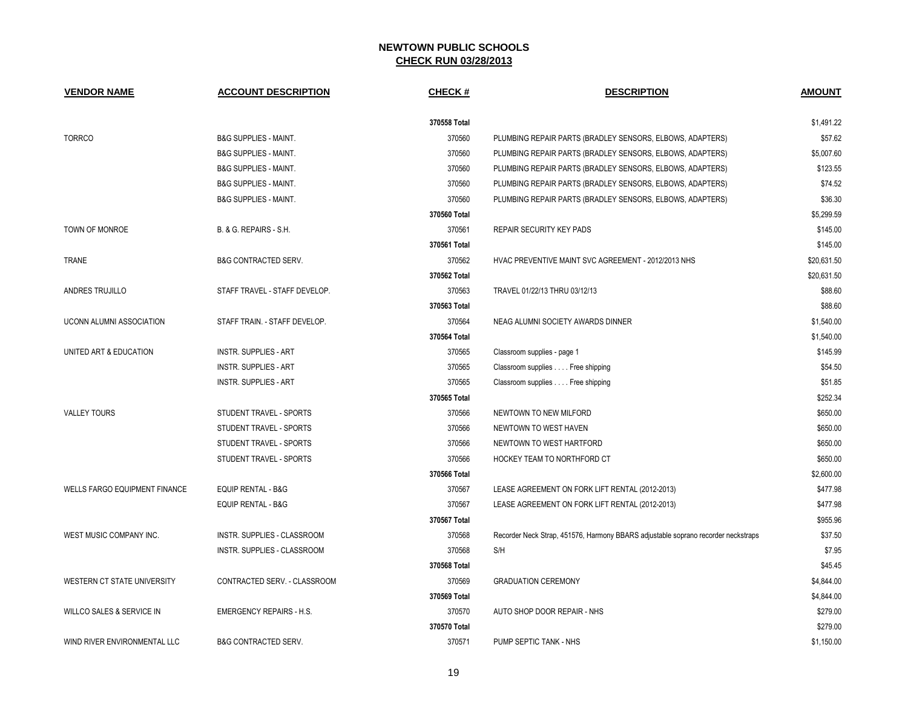| <b>VENDOR NAME</b>                   | <b>ACCOUNT DESCRIPTION</b>       | <b>CHECK#</b> | <b>DESCRIPTION</b>                                                                | <b>AMOUNT</b> |
|--------------------------------------|----------------------------------|---------------|-----------------------------------------------------------------------------------|---------------|
|                                      |                                  | 370558 Total  |                                                                                   | \$1,491.22    |
| <b>TORRCO</b>                        | <b>B&amp;G SUPPLIES - MAINT.</b> | 370560        | PLUMBING REPAIR PARTS (BRADLEY SENSORS, ELBOWS, ADAPTERS)                         | \$57.62       |
|                                      | <b>B&amp;G SUPPLIES - MAINT.</b> | 370560        | PLUMBING REPAIR PARTS (BRADLEY SENSORS, ELBOWS, ADAPTERS)                         | \$5,007.60    |
|                                      | <b>B&amp;G SUPPLIES - MAINT.</b> | 370560        | PLUMBING REPAIR PARTS (BRADLEY SENSORS, ELBOWS, ADAPTERS)                         | \$123.55      |
|                                      | <b>B&amp;G SUPPLIES - MAINT.</b> | 370560        | PLUMBING REPAIR PARTS (BRADLEY SENSORS, ELBOWS, ADAPTERS)                         | \$74.52       |
|                                      | <b>B&amp;G SUPPLIES - MAINT.</b> | 370560        | PLUMBING REPAIR PARTS (BRADLEY SENSORS, ELBOWS, ADAPTERS)                         | \$36.30       |
|                                      |                                  | 370560 Total  |                                                                                   | \$5,299.59    |
| TOWN OF MONROE                       | B. & G. REPAIRS - S.H.           | 370561        | REPAIR SECURITY KEY PADS                                                          | \$145.00      |
|                                      |                                  | 370561 Total  |                                                                                   | \$145.00      |
| <b>TRANE</b>                         | <b>B&amp;G CONTRACTED SERV.</b>  | 370562        | HVAC PREVENTIVE MAINT SVC AGREEMENT - 2012/2013 NHS                               | \$20.631.50   |
|                                      |                                  | 370562 Total  |                                                                                   | \$20,631.50   |
| ANDRES TRUJILLO                      | STAFF TRAVEL - STAFF DEVELOP.    | 370563        | TRAVEL 01/22/13 THRU 03/12/13                                                     | \$88.60       |
|                                      |                                  | 370563 Total  |                                                                                   | \$88.60       |
| UCONN ALUMNI ASSOCIATION             | STAFF TRAIN. - STAFF DEVELOP.    | 370564        | NEAG ALUMNI SOCIETY AWARDS DINNER                                                 | \$1,540.00    |
|                                      |                                  | 370564 Total  |                                                                                   | \$1,540.00    |
| UNITED ART & EDUCATION               | <b>INSTR. SUPPLIES - ART</b>     | 370565        | Classroom supplies - page 1                                                       | \$145.99      |
|                                      | <b>INSTR. SUPPLIES - ART</b>     | 370565        | Classroom supplies Free shipping                                                  | \$54.50       |
|                                      | <b>INSTR. SUPPLIES - ART</b>     | 370565        | Classroom supplies Free shipping                                                  | \$51.85       |
|                                      |                                  | 370565 Total  |                                                                                   | \$252.34      |
| <b>VALLEY TOURS</b>                  | STUDENT TRAVEL - SPORTS          | 370566        | NEWTOWN TO NEW MILFORD                                                            | \$650.00      |
|                                      | STUDENT TRAVEL - SPORTS          | 370566        | NEWTOWN TO WEST HAVEN                                                             | \$650.00      |
|                                      | STUDENT TRAVEL - SPORTS          | 370566        | NEWTOWN TO WEST HARTFORD                                                          | \$650.00      |
|                                      | STUDENT TRAVEL - SPORTS          | 370566        | HOCKEY TEAM TO NORTHFORD CT                                                       | \$650.00      |
|                                      |                                  | 370566 Total  |                                                                                   | \$2,600.00    |
| <b>WELLS FARGO EQUIPMENT FINANCE</b> | <b>EQUIP RENTAL - B&amp;G</b>    | 370567        | LEASE AGREEMENT ON FORK LIFT RENTAL (2012-2013)                                   | \$477.98      |
|                                      | <b>EQUIP RENTAL - B&amp;G</b>    | 370567        | LEASE AGREEMENT ON FORK LIFT RENTAL (2012-2013)                                   | \$477.98      |
|                                      |                                  | 370567 Total  |                                                                                   | \$955.96      |
| WEST MUSIC COMPANY INC.              | INSTR. SUPPLIES - CLASSROOM      | 370568        | Recorder Neck Strap, 451576, Harmony BBARS adjustable soprano recorder neckstraps | \$37.50       |
|                                      | INSTR. SUPPLIES - CLASSROOM      | 370568        | S/H                                                                               | \$7.95        |
|                                      |                                  | 370568 Total  |                                                                                   | \$45.45       |
| WESTERN CT STATE UNIVERSITY          | CONTRACTED SERV. - CLASSROOM     | 370569        | <b>GRADUATION CEREMONY</b>                                                        | \$4,844.00    |
|                                      |                                  | 370569 Total  |                                                                                   | \$4,844.00    |
| WILLCO SALES & SERVICE IN            | <b>EMERGENCY REPAIRS - H.S.</b>  | 370570        | AUTO SHOP DOOR REPAIR - NHS                                                       | \$279.00      |
|                                      |                                  | 370570 Total  |                                                                                   | \$279.00      |
| WIND RIVER ENVIRONMENTAL LLC         | <b>B&amp;G CONTRACTED SERV.</b>  | 370571        | PUMP SEPTIC TANK - NHS                                                            | \$1,150.00    |